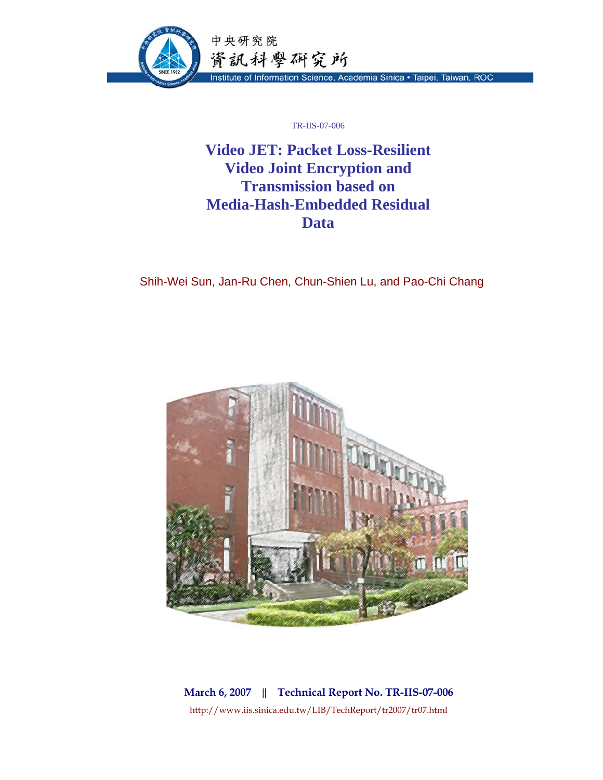

TR-IIS-07-006

# **Video JET: Packet Loss-Resilient Video Joint Encryption and Transmission based on Media-Hash-Embedded Residual Data**

## Shih-Wei Sun, Jan-Ru Chen, Chun-Shien Lu, and Pao-Chi Chang



**March 6, 2007 || Technical Report No. TR-IIS-07-006**  http://www.iis.sinica.edu.tw/LIB/TechReport/tr2007/tr07.html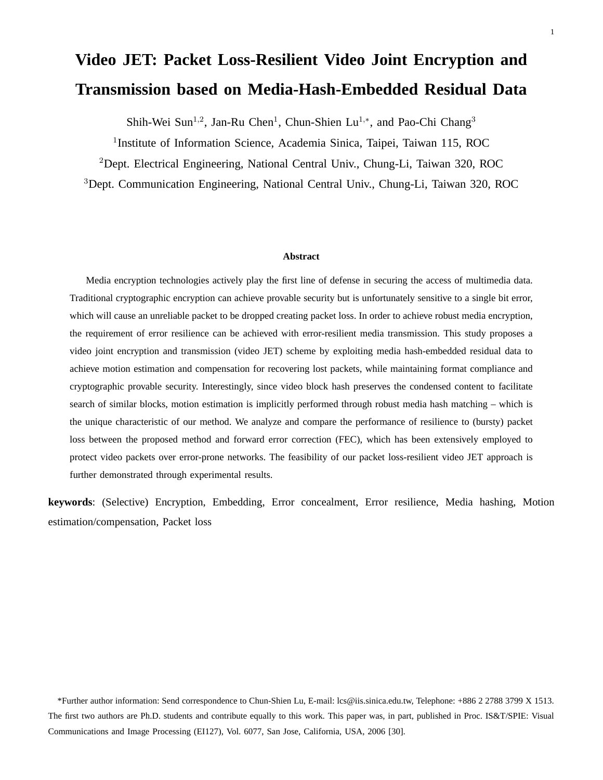# **Video JET: Packet Loss-Resilient Video Joint Encryption and Transmission based on Media-Hash-Embedded Residual Data**

Shih-Wei Sun<sup>1,2</sup>, Jan-Ru Chen<sup>1</sup>, Chun-Shien Lu<sup>1,\*</sup>, and Pao-Chi Chang<sup>3</sup>

<sup>1</sup>Institute of Information Science, Academia Sinica, Taipei, Taiwan 115, ROC

<sup>2</sup>Dept. Electrical Engineering, National Central Univ., Chung-Li, Taiwan 320, ROC

<sup>3</sup>Dept. Communication Engineering, National Central Univ., Chung-Li, Taiwan 320, ROC

### **Abstract**

Media encryption technologies actively play the first line of defense in securing the access of multimedia data. Traditional cryptographic encryption can achieve provable security but is unfortunately sensitive to a single bit error, which will cause an unreliable packet to be dropped creating packet loss. In order to achieve robust media encryption, the requirement of error resilience can be achieved with error-resilient media transmission. This study proposes a video joint encryption and transmission (video JET) scheme by exploiting media hash-embedded residual data to achieve motion estimation and compensation for recovering lost packets, while maintaining format compliance and cryptographic provable security. Interestingly, since video block hash preserves the condensed content to facilitate search of similar blocks, motion estimation is implicitly performed through robust media hash matching – which is the unique characteristic of our method. We analyze and compare the performance of resilience to (bursty) packet loss between the proposed method and forward error correction (FEC), which has been extensively employed to protect video packets over error-prone networks. The feasibility of our packet loss-resilient video JET approach is further demonstrated through experimental results.

**keywords**: (Selective) Encryption, Embedding, Error concealment, Error resilience, Media hashing, Motion estimation/compensation, Packet loss

<sup>\*</sup>Further author information: Send correspondence to Chun-Shien Lu, E-mail: lcs@iis.sinica.edu.tw, Telephone: +886 2 2788 3799 X 1513. The first two authors are Ph.D. students and contribute equally to this work. This paper was, in part, published in Proc. IS&T/SPIE: Visual Communications and Image Processing (EI127), Vol. 6077, San Jose, California, USA, 2006 [30].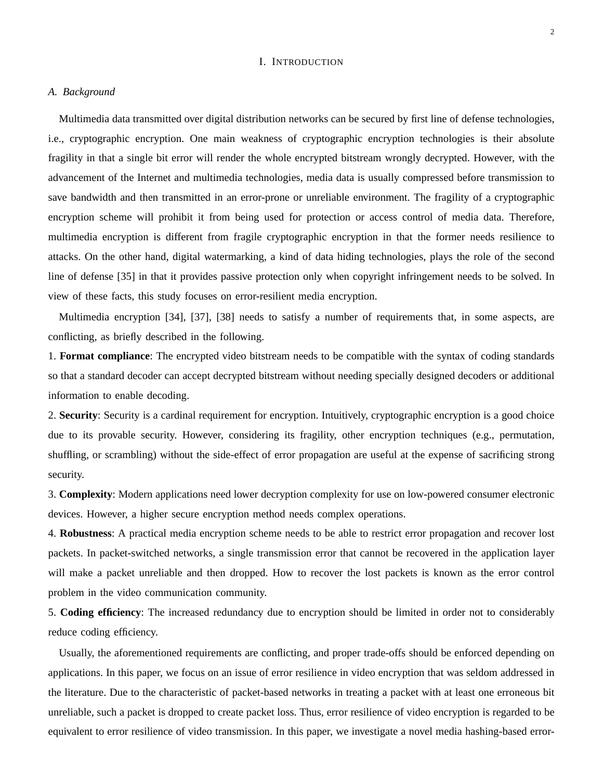#### I. INTRODUCTION

## *A. Background*

Multimedia data transmitted over digital distribution networks can be secured by first line of defense technologies, i.e., cryptographic encryption. One main weakness of cryptographic encryption technologies is their absolute fragility in that a single bit error will render the whole encrypted bitstream wrongly decrypted. However, with the advancement of the Internet and multimedia technologies, media data is usually compressed before transmission to save bandwidth and then transmitted in an error-prone or unreliable environment. The fragility of a cryptographic encryption scheme will prohibit it from being used for protection or access control of media data. Therefore, multimedia encryption is different from fragile cryptographic encryption in that the former needs resilience to attacks. On the other hand, digital watermarking, a kind of data hiding technologies, plays the role of the second line of defense [35] in that it provides passive protection only when copyright infringement needs to be solved. In view of these facts, this study focuses on error-resilient media encryption.

Multimedia encryption [34], [37], [38] needs to satisfy a number of requirements that, in some aspects, are conflicting, as briefly described in the following.

1. **Format compliance**: The encrypted video bitstream needs to be compatible with the syntax of coding standards so that a standard decoder can accept decrypted bitstream without needing specially designed decoders or additional information to enable decoding.

2. **Security**: Security is a cardinal requirement for encryption. Intuitively, cryptographic encryption is a good choice due to its provable security. However, considering its fragility, other encryption techniques (e.g., permutation, shuffling, or scrambling) without the side-effect of error propagation are useful at the expense of sacrificing strong security.

3. **Complexity**: Modern applications need lower decryption complexity for use on low-powered consumer electronic devices. However, a higher secure encryption method needs complex operations.

4. **Robustness**: A practical media encryption scheme needs to be able to restrict error propagation and recover lost packets. In packet-switched networks, a single transmission error that cannot be recovered in the application layer will make a packet unreliable and then dropped. How to recover the lost packets is known as the error control problem in the video communication community.

5. **Coding efficiency**: The increased redundancy due to encryption should be limited in order not to considerably reduce coding efficiency.

Usually, the aforementioned requirements are conflicting, and proper trade-offs should be enforced depending on applications. In this paper, we focus on an issue of error resilience in video encryption that was seldom addressed in the literature. Due to the characteristic of packet-based networks in treating a packet with at least one erroneous bit unreliable, such a packet is dropped to create packet loss. Thus, error resilience of video encryption is regarded to be equivalent to error resilience of video transmission. In this paper, we investigate a novel media hashing-based error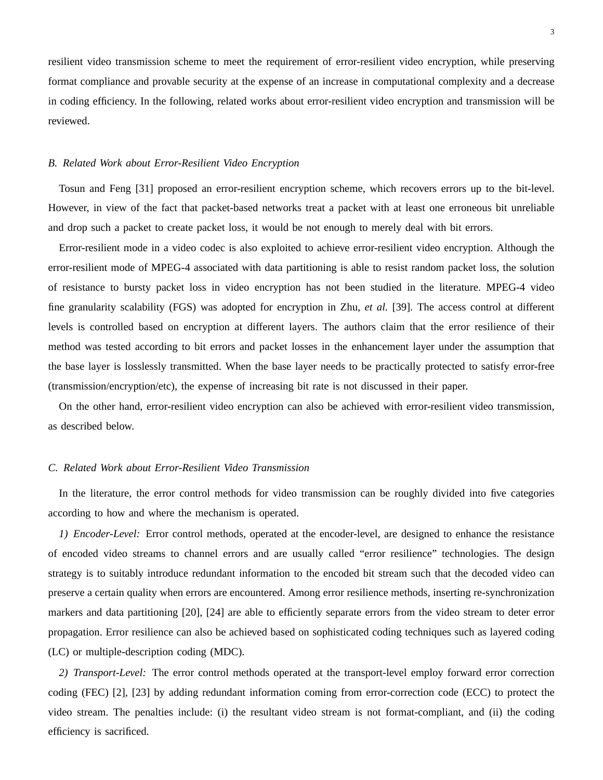resilient video transmission scheme to meet the requirement of error-resilient video encryption, while preserving format compliance and provable security at the expense of an increase in computational complexity and a decrease in coding efficiency. In the following, related works about error-resilient video encryption and transmission will be reviewed.

## *B. Related Work about Error-Resilient Video Encryption*

Tosun and Feng [31] proposed an error-resilient encryption scheme, which recovers errors up to the bit-level. However, in view of the fact that packet-based networks treat a packet with at least one erroneous bit unreliable and drop such a packet to create packet loss, it would be not enough to merely deal with bit errors.

Error-resilient mode in a video codec is also exploited to achieve error-resilient video encryption. Although the error-resilient mode of MPEG-4 associated with data partitioning is able to resist random packet loss, the solution of resistance to bursty packet loss in video encryption has not been studied in the literature. MPEG-4 video fine granularity scalability (FGS) was adopted for encryption in Zhu, *et al.* [39]. The access control at different levels is controlled based on encryption at different layers. The authors claim that the error resilience of their method was tested according to bit errors and packet losses in the enhancement layer under the assumption that the base layer is losslessly transmitted. When the base layer needs to be practically protected to satisfy error-free (transmission/encryption/etc), the expense of increasing bit rate is not discussed in their paper.

On the other hand, error-resilient video encryption can also be achieved with error-resilient video transmission, as described below.

## *C. Related Work about Error-Resilient Video Transmission*

In the literature, the error control methods for video transmission can be roughly divided into five categories according to how and where the mechanism is operated.

*1) Encoder-Level:* Error control methods, operated at the encoder-level, are designed to enhance the resistance of encoded video streams to channel errors and are usually called "error resilience" technologies. The design strategy is to suitably introduce redundant information to the encoded bit stream such that the decoded video can preserve a certain quality when errors are encountered. Among error resilience methods, inserting re-synchronization markers and data partitioning [20], [24] are able to efficiently separate errors from the video stream to deter error propagation. Error resilience can also be achieved based on sophisticated coding techniques such as layered coding (LC) or multiple-description coding (MDC).

*2) Transport-Level:* The error control methods operated at the transport-level employ forward error correction coding (FEC) [2], [23] by adding redundant information coming from error-correction code (ECC) to protect the video stream. The penalties include: (i) the resultant video stream is not format-compliant, and (ii) the coding efficiency is sacrificed.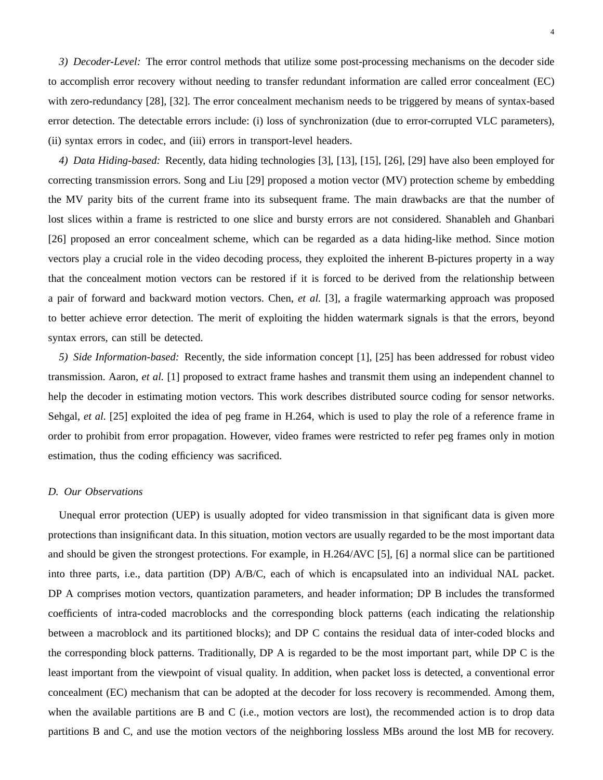*3) Decoder-Level:* The error control methods that utilize some post-processing mechanisms on the decoder side to accomplish error recovery without needing to transfer redundant information are called error concealment (EC) with zero-redundancy [28], [32]. The error concealment mechanism needs to be triggered by means of syntax-based error detection. The detectable errors include: (i) loss of synchronization (due to error-corrupted VLC parameters), (ii) syntax errors in codec, and (iii) errors in transport-level headers.

*4) Data Hiding-based:* Recently, data hiding technologies [3], [13], [15], [26], [29] have also been employed for correcting transmission errors. Song and Liu [29] proposed a motion vector (MV) protection scheme by embedding the MV parity bits of the current frame into its subsequent frame. The main drawbacks are that the number of lost slices within a frame is restricted to one slice and bursty errors are not considered. Shanableh and Ghanbari [26] proposed an error concealment scheme, which can be regarded as a data hiding-like method. Since motion vectors play a crucial role in the video decoding process, they exploited the inherent B-pictures property in a way that the concealment motion vectors can be restored if it is forced to be derived from the relationship between a pair of forward and backward motion vectors. Chen, *et al.* [3], a fragile watermarking approach was proposed to better achieve error detection. The merit of exploiting the hidden watermark signals is that the errors, beyond syntax errors, can still be detected.

*5) Side Information-based:* Recently, the side information concept [1], [25] has been addressed for robust video transmission. Aaron, *et al.* [1] proposed to extract frame hashes and transmit them using an independent channel to help the decoder in estimating motion vectors. This work describes distributed source coding for sensor networks. Sehgal, *et al.* [25] exploited the idea of peg frame in H.264, which is used to play the role of a reference frame in order to prohibit from error propagation. However, video frames were restricted to refer peg frames only in motion estimation, thus the coding efficiency was sacrificed.

## *D. Our Observations*

Unequal error protection (UEP) is usually adopted for video transmission in that significant data is given more protections than insignificant data. In this situation, motion vectors are usually regarded to be the most important data and should be given the strongest protections. For example, in H.264/AVC [5], [6] a normal slice can be partitioned into three parts, i.e., data partition (DP) A/B/C, each of which is encapsulated into an individual NAL packet. DP A comprises motion vectors, quantization parameters, and header information; DP B includes the transformed coefficients of intra-coded macroblocks and the corresponding block patterns (each indicating the relationship between a macroblock and its partitioned blocks); and DP C contains the residual data of inter-coded blocks and the corresponding block patterns. Traditionally, DP A is regarded to be the most important part, while DP C is the least important from the viewpoint of visual quality. In addition, when packet loss is detected, a conventional error concealment (EC) mechanism that can be adopted at the decoder for loss recovery is recommended. Among them, when the available partitions are B and C (i.e., motion vectors are lost), the recommended action is to drop data partitions B and C, and use the motion vectors of the neighboring lossless MBs around the lost MB for recovery.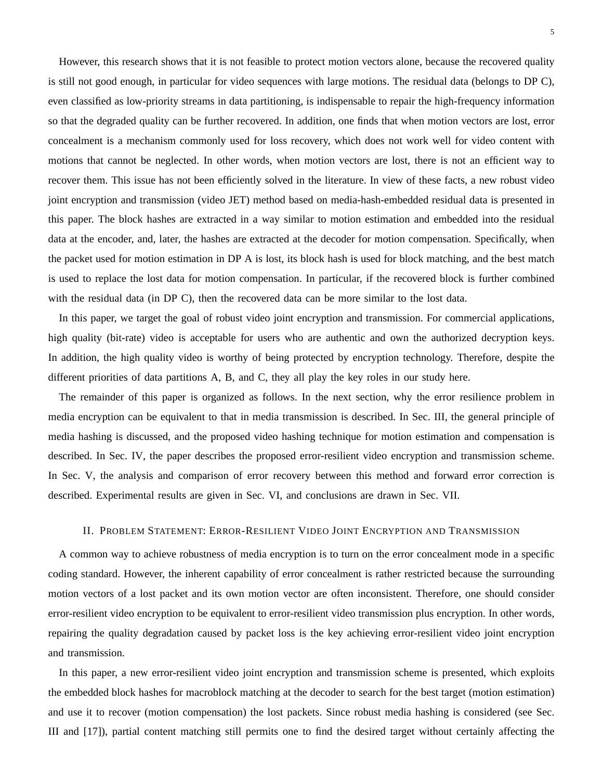However, this research shows that it is not feasible to protect motion vectors alone, because the recovered quality is still not good enough, in particular for video sequences with large motions. The residual data (belongs to DP C), even classified as low-priority streams in data partitioning, is indispensable to repair the high-frequency information so that the degraded quality can be further recovered. In addition, one finds that when motion vectors are lost, error concealment is a mechanism commonly used for loss recovery, which does not work well for video content with motions that cannot be neglected. In other words, when motion vectors are lost, there is not an efficient way to recover them. This issue has not been efficiently solved in the literature. In view of these facts, a new robust video joint encryption and transmission (video JET) method based on media-hash-embedded residual data is presented in this paper. The block hashes are extracted in a way similar to motion estimation and embedded into the residual data at the encoder, and, later, the hashes are extracted at the decoder for motion compensation. Specifically, when the packet used for motion estimation in DP A is lost, its block hash is used for block matching, and the best match is used to replace the lost data for motion compensation. In particular, if the recovered block is further combined with the residual data (in DP C), then the recovered data can be more similar to the lost data.

In this paper, we target the goal of robust video joint encryption and transmission. For commercial applications, high quality (bit-rate) video is acceptable for users who are authentic and own the authorized decryption keys. In addition, the high quality video is worthy of being protected by encryption technology. Therefore, despite the different priorities of data partitions A, B, and C, they all play the key roles in our study here.

The remainder of this paper is organized as follows. In the next section, why the error resilience problem in media encryption can be equivalent to that in media transmission is described. In Sec. III, the general principle of media hashing is discussed, and the proposed video hashing technique for motion estimation and compensation is described. In Sec. IV, the paper describes the proposed error-resilient video encryption and transmission scheme. In Sec. V, the analysis and comparison of error recovery between this method and forward error correction is described. Experimental results are given in Sec. VI, and conclusions are drawn in Sec. VII.

## II. PROBLEM STATEMENT: ERROR-RESILIENT VIDEO JOINT ENCRYPTION AND TRANSMISSION

A common way to achieve robustness of media encryption is to turn on the error concealment mode in a specific coding standard. However, the inherent capability of error concealment is rather restricted because the surrounding motion vectors of a lost packet and its own motion vector are often inconsistent. Therefore, one should consider error-resilient video encryption to be equivalent to error-resilient video transmission plus encryption. In other words, repairing the quality degradation caused by packet loss is the key achieving error-resilient video joint encryption and transmission.

In this paper, a new error-resilient video joint encryption and transmission scheme is presented, which exploits the embedded block hashes for macroblock matching at the decoder to search for the best target (motion estimation) and use it to recover (motion compensation) the lost packets. Since robust media hashing is considered (see Sec. III and [17]), partial content matching still permits one to find the desired target without certainly affecting the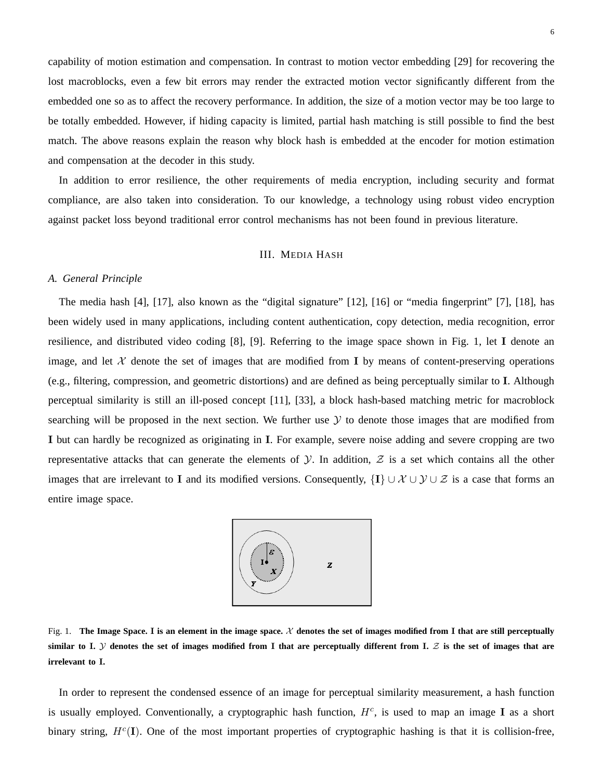capability of motion estimation and compensation. In contrast to motion vector embedding [29] for recovering the lost macroblocks, even a few bit errors may render the extracted motion vector significantly different from the embedded one so as to affect the recovery performance. In addition, the size of a motion vector may be too large to be totally embedded. However, if hiding capacity is limited, partial hash matching is still possible to find the best match. The above reasons explain the reason why block hash is embedded at the encoder for motion estimation and compensation at the decoder in this study.

In addition to error resilience, the other requirements of media encryption, including security and format compliance, are also taken into consideration. To our knowledge, a technology using robust video encryption against packet loss beyond traditional error control mechanisms has not been found in previous literature.

## III. MEDIA HASH

## *A. General Principle*

The media hash [4], [17], also known as the "digital signature" [12], [16] or "media fingerprint" [7], [18], has been widely used in many applications, including content authentication, copy detection, media recognition, error resilience, and distributed video coding [8], [9]. Referring to the image space shown in Fig. 1, let I denote an image, and let  $X$  denote the set of images that are modified from I by means of content-preserving operations (e.g., filtering, compression, and geometric distortions) and are defined as being perceptually similar to I. Although perceptual similarity is still an ill-posed concept [11], [33], a block hash-based matching metric for macroblock searching will be proposed in the next section. We further use  $Y$  to denote those images that are modified from I but can hardly be recognized as originating in I. For example, severe noise adding and severe cropping are two representative attacks that can generate the elements of  $Y$ . In addition,  $Z$  is a set which contains all the other images that are irrelevant to I and its modified versions. Consequently,  $\{I\} \cup \mathcal{X} \cup \mathcal{Y} \cup \mathcal{Z}$  is a case that forms an entire image space.



Fig. 1. **The Image Space.** I **is an element in the image space.** X **denotes the set of images modified from** I **that are still perceptually similar to** I**.**  $\mathcal{Y}$  denotes the set of images modified from I that are perceptually different from I.  $\mathcal{Z}$  is the set of images that are **irrelevant to** I**.**

In order to represent the condensed essence of an image for perceptual similarity measurement, a hash function is usually employed. Conventionally, a cryptographic hash function,  $H^c$ , is used to map an image I as a short binary string,  $H<sup>c</sup>(I)$ . One of the most important properties of cryptographic hashing is that it is collision-free,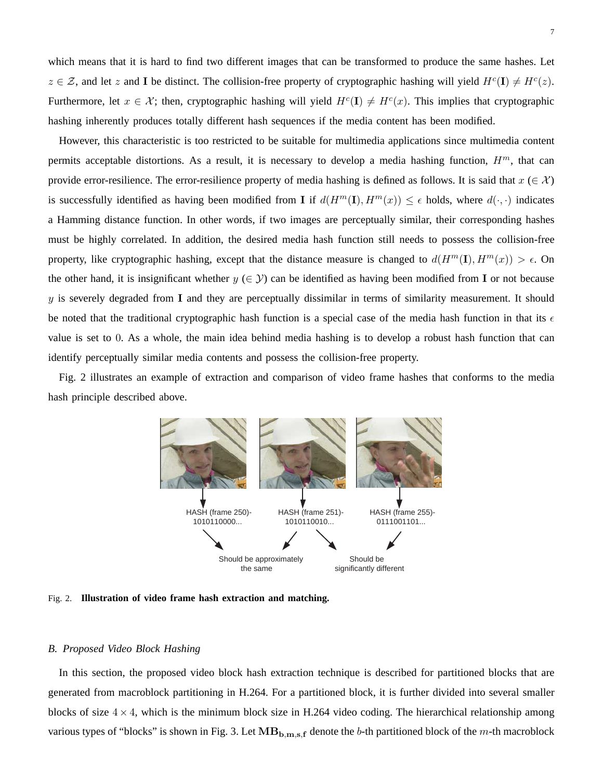which means that it is hard to find two different images that can be transformed to produce the same hashes. Let  $z \in \mathcal{Z}$ , and let z and I be distinct. The collision-free property of cryptographic hashing will yield  $H^c(I) \neq H^c(z)$ . Furthermore, let  $x \in \mathcal{X}$ ; then, cryptographic hashing will yield  $H^c(\mathbf{I}) \neq H^c(x)$ . This implies that cryptographic hashing inherently produces totally different hash sequences if the media content has been modified.

However, this characteristic is too restricted to be suitable for multimedia applications since multimedia content permits acceptable distortions. As a result, it is necessary to develop a media hashing function,  $H^m$ , that can provide error-resilience. The error-resilience property of media hashing is defined as follows. It is said that  $x \in \mathcal{X}$ ) is successfully identified as having been modified from I if  $d(H^m(I), H^m(x)) \leq \epsilon$  holds, where  $d(\cdot, \cdot)$  indicates a Hamming distance function. In other words, if two images are perceptually similar, their corresponding hashes must be highly correlated. In addition, the desired media hash function still needs to possess the collision-free property, like cryptographic hashing, except that the distance measure is changed to  $d(H^m(I), H^m(x)) > \epsilon$ . On the other hand, it is insignificant whether  $y \in \mathcal{Y}$  can be identified as having been modified from I or not because  $y$  is severely degraded from I and they are perceptually dissimilar in terms of similarity measurement. It should be noted that the traditional cryptographic hash function is a special case of the media hash function in that its  $\epsilon$ value is set to 0. As a whole, the main idea behind media hashing is to develop a robust hash function that can identify perceptually similar media contents and possess the collision-free property.

Fig. 2 illustrates an example of extraction and comparison of video frame hashes that conforms to the media hash principle described above.



Fig. 2. **Illustration of video frame hash extraction and matching.**

## *B. Proposed Video Block Hashing*

In this section, the proposed video block hash extraction technique is described for partitioned blocks that are generated from macroblock partitioning in H.264. For a partitioned block, it is further divided into several smaller blocks of size  $4 \times 4$ , which is the minimum block size in H.264 video coding. The hierarchical relationship among various types of "blocks" is shown in Fig. 3. Let  $MB_{b,m,s,f}$  denote the b-th partitioned block of the m-th macroblock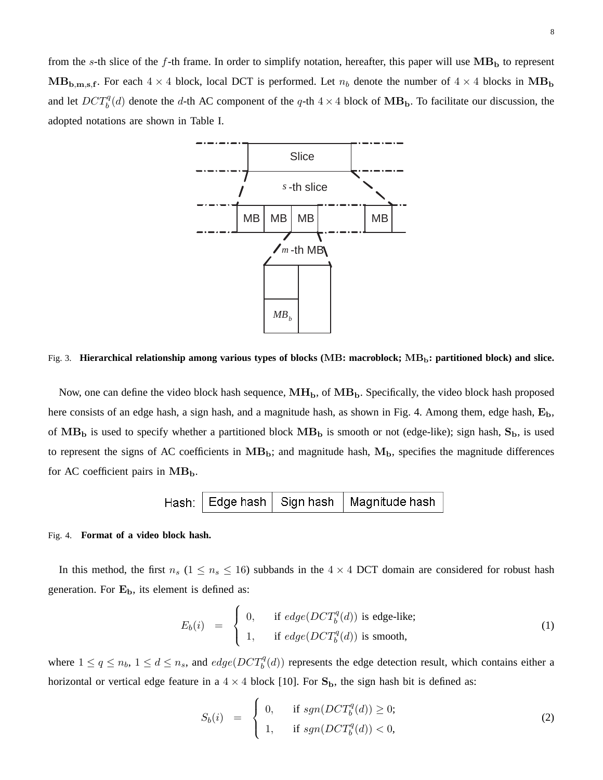from the s-th slice of the f-th frame. In order to simplify notation, hereafter, this paper will use  $MB<sub>b</sub>$  to represent  $MB_{b,m,s,f}$ . For each  $4 \times 4$  block, local DCT is performed. Let  $n_b$  denote the number of  $4 \times 4$  blocks in  $MB_b$ and let  $DCT_b^q(d)$  denote the d-th AC component of the q-th  $4 \times 4$  block of  $MB_b$ . To facilitate our discussion, the adopted notations are shown in Table I.



#### Fig. 3. **Hierarchical relationship among various types of blocks (**MB**: macroblock;** MBb**: partitioned block) and slice.**

Now, one can define the video block hash sequence,  $\text{MH}_{b}$ , of  $\text{MB}_{b}$ . Specifically, the video block hash proposed here consists of an edge hash, a sign hash, and a magnitude hash, as shown in Fig. 4. Among them, edge hash,  $E_b$ , of  $MB_b$  is used to specify whether a partitioned block  $MB_b$  is smooth or not (edge-like); sign hash,  $S_b$ , is used to represent the signs of AC coefficients in  $MB_b$ ; and magnitude hash,  $M_b$ , specifies the magnitude differences for AC coefficient pairs in  $MB<sub>b</sub>$ .



#### Fig. 4. **Format of a video block hash.**

In this method, the first  $n_s$  (1  $\leq n_s \leq 16$ ) subbands in the 4  $\times$  4 DCT domain are considered for robust hash generation. For  $E<sub>b</sub>$ , its element is defined as:

$$
E_b(i) = \begin{cases} 0, & \text{if } edge(DCT_b^q(d)) \text{ is edge-like;} \\ 1, & \text{if } edge(DCT_b^q(d)) \text{ is smooth,} \end{cases}
$$
 (1)

where  $1 \le q \le n_b$ ,  $1 \le d \le n_s$ , and  $edge(DCT_b^q(d))$  represents the edge detection result, which contains either a horizontal or vertical edge feature in a  $4 \times 4$  block [10]. For  $S_b$ , the sign hash bit is defined as:

 $\overline{a}$ 

$$
S_b(i) = \begin{cases} 0, & \text{if } sgn(DCT_b^q(d)) \ge 0; \\ 1, & \text{if } sgn(DCT_b^q(d)) < 0, \end{cases} \tag{2}
$$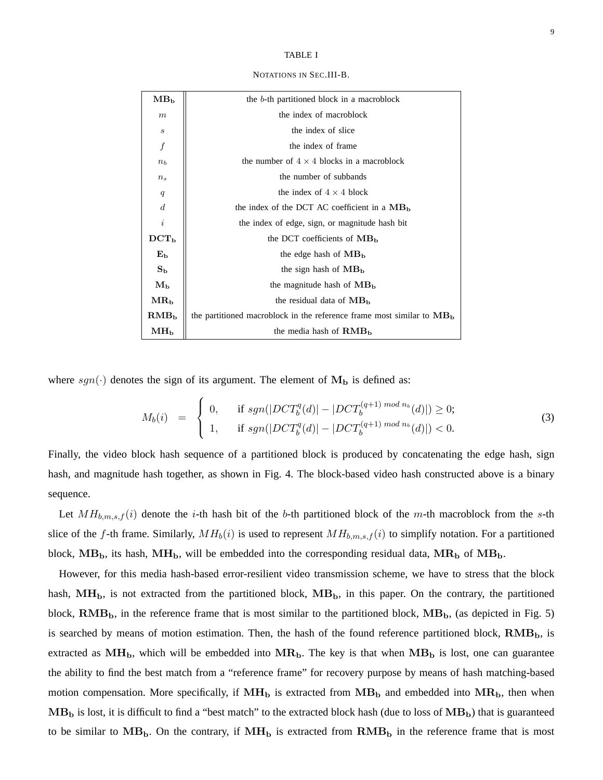#### TABLE I

| MB <sub>b</sub>  | the b-th partitioned block in a macroblock                              |
|------------------|-------------------------------------------------------------------------|
| m                | the index of macroblock                                                 |
| $\boldsymbol{s}$ | the index of slice                                                      |
| $\boldsymbol{f}$ | the index of frame                                                      |
| $n_{b}$          | the number of $4 \times 4$ blocks in a macroblock                       |
| $n_{s}$          | the number of subbands                                                  |
| q                | the index of $4 \times 4$ block                                         |
| $\boldsymbol{d}$ | the index of the DCT AC coefficient in a $MBb$                          |
| $\dot{i}$        | the index of edge, sign, or magnitude hash bit                          |
| $DCT_{b}$        | the DCT coefficients of $MBb$                                           |
| ${\bf E_b}$      | the edge hash of $MBb$                                                  |
| $S_{\rm b}$      | the sign hash of $MB_b$                                                 |
| $\rm M_b$        | the magnitude hash of $MBb$                                             |
| MR <sub>b</sub>  | the residual data of $MBb$                                              |
| RMB <sub>b</sub> | the partitioned macroblock in the reference frame most similar to $MBb$ |
| MH <sub>b</sub>  | the media hash of $\rm RMB_b$                                           |

#### NOTATIONS IN SEC.III-B.

where  $sgn(\cdot)$  denotes the sign of its argument. The element of  $M<sub>b</sub>$  is defined as:

$$
M_b(i) = \begin{cases} 0, & \text{if } sgn(|DCT_b^q(d)| - |DCT_b^{(q+1) \bmod n_b}(d)|) \ge 0; \\ 1, & \text{if } sgn(|DCT_b^q(d)| - |DCT_b^{(q+1) \bmod n_b}(d)|) < 0. \end{cases} \tag{3}
$$

Finally, the video block hash sequence of a partitioned block is produced by concatenating the edge hash, sign hash, and magnitude hash together, as shown in Fig. 4. The block-based video hash constructed above is a binary sequence.

Let  $MH_{b,m,s,f}(i)$  denote the *i*-th hash bit of the *b*-th partitioned block of the *m*-th macroblock from the *s*-th slice of the f-th frame. Similarly,  $MH_b(i)$  is used to represent  $MH_{b,m,s,f}(i)$  to simplify notation. For a partitioned block,  $MB_b$ , its hash,  $MH_b$ , will be embedded into the corresponding residual data,  $MR_b$  of  $MB_b$ .

However, for this media hash-based error-resilient video transmission scheme, we have to stress that the block hash,  $MH<sub>b</sub>$ , is not extracted from the partitioned block,  $MB<sub>b</sub>$ , in this paper. On the contrary, the partitioned block,  $\text{RMB}_b$ , in the reference frame that is most similar to the partitioned block,  $\text{MB}_b$ , (as depicted in Fig. 5) is searched by means of motion estimation. Then, the hash of the found reference partitioned block,  $\mathbf{RMB_b}$ , is extracted as  $MH_b$ , which will be embedded into  $MR_b$ . The key is that when  $MB_b$  is lost, one can guarantee the ability to find the best match from a "reference frame" for recovery purpose by means of hash matching-based motion compensation. More specifically, if  $MH_b$  is extracted from  $MB_b$  and embedded into  $MR_b$ , then when  $MB_b$  is lost, it is difficult to find a "best match" to the extracted block hash (due to loss of  $MB_b$ ) that is guaranteed to be similar to  $MB_b$ . On the contrary, if  $MH_b$  is extracted from  $RMB_b$  in the reference frame that is most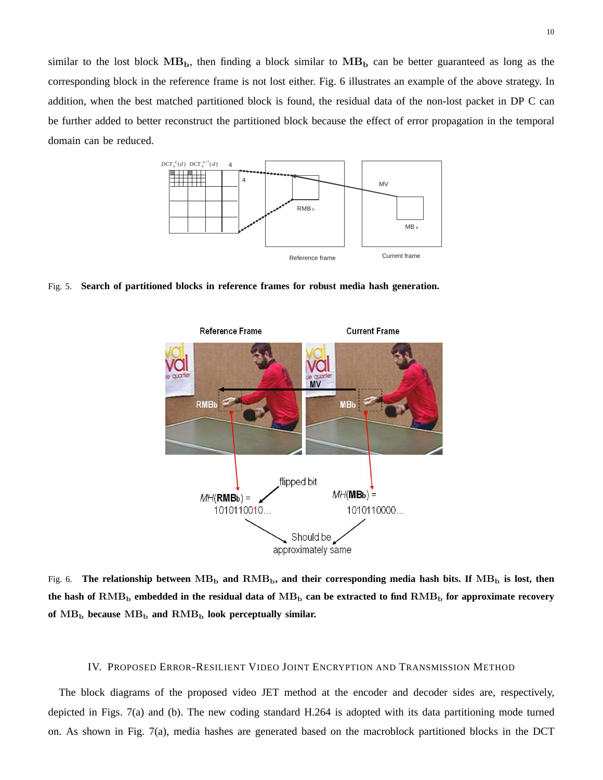similar to the lost block  $MB<sub>b</sub>$ , then finding a block similar to  $MB<sub>b</sub>$  can be better guaranteed as long as the corresponding block in the reference frame is not lost either. Fig. 6 illustrates an example of the above strategy. In addition, when the best matched partitioned block is found, the residual data of the non-lost packet in DP C can be further added to better reconstruct the partitioned block because the effect of error propagation in the temporal domain can be reduced.



Fig. 5. **Search of partitioned blocks in reference frames for robust media hash generation.**



Fig. 6. The relationship between  $MB_b$  and  $RMB_b$ , and their corresponding media hash bits. If  $MB_b$  is lost, then **the hash of RMB<sub>b</sub> embedded in the residual data of MB<sub>b</sub> can be extracted to find RMB<sub>b</sub> for approximate recovery** of  $MB_b$  because  $MB_b$  and  $RMB_b$  look perceptually similar.

## IV. PROPOSED ERROR-RESILIENT VIDEO JOINT ENCRYPTION AND TRANSMISSION METHOD

The block diagrams of the proposed video JET method at the encoder and decoder sides are, respectively, depicted in Figs. 7(a) and (b). The new coding standard H.264 is adopted with its data partitioning mode turned on. As shown in Fig. 7(a), media hashes are generated based on the macroblock partitioned blocks in the DCT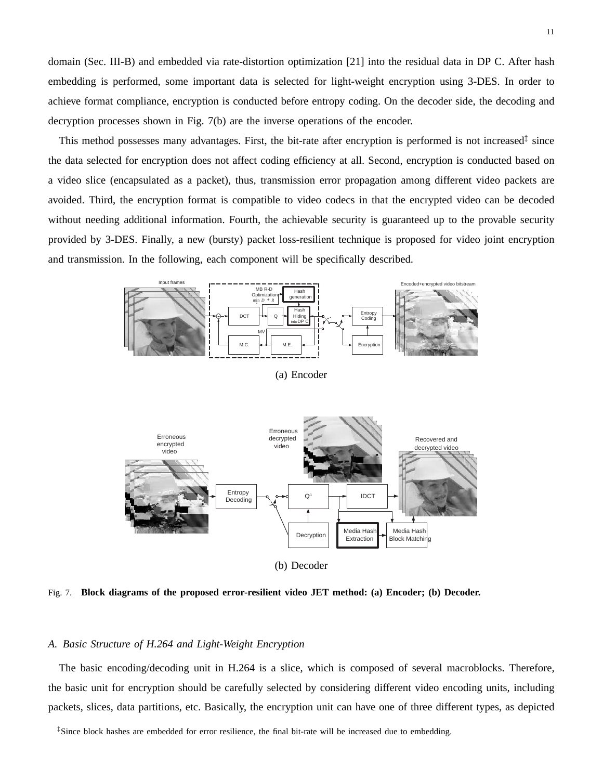domain (Sec. III-B) and embedded via rate-distortion optimization [21] into the residual data in DP C. After hash embedding is performed, some important data is selected for light-weight encryption using 3-DES. In order to achieve format compliance, encryption is conducted before entropy coding. On the decoder side, the decoding and decryption processes shown in Fig. 7(b) are the inverse operations of the encoder.

This method possesses many advantages. First, the bit-rate after encryption is performed is not increased<sup>‡</sup> since the data selected for encryption does not affect coding efficiency at all. Second, encryption is conducted based on a video slice (encapsulated as a packet), thus, transmission error propagation among different video packets are avoided. Third, the encryption format is compatible to video codecs in that the encrypted video can be decoded without needing additional information. Fourth, the achievable security is guaranteed up to the provable security provided by 3-DES. Finally, a new (bursty) packet loss-resilient technique is proposed for video joint encryption and transmission. In the following, each component will be specifically described.



(a) Encoder



(b) Decoder



## *A. Basic Structure of H.264 and Light-Weight Encryption*

The basic encoding/decoding unit in H.264 is a slice, which is composed of several macroblocks. Therefore, the basic unit for encryption should be carefully selected by considering different video encoding units, including packets, slices, data partitions, etc. Basically, the encryption unit can have one of three different types, as depicted

‡ Since block hashes are embedded for error resilience, the final bit-rate will be increased due to embedding.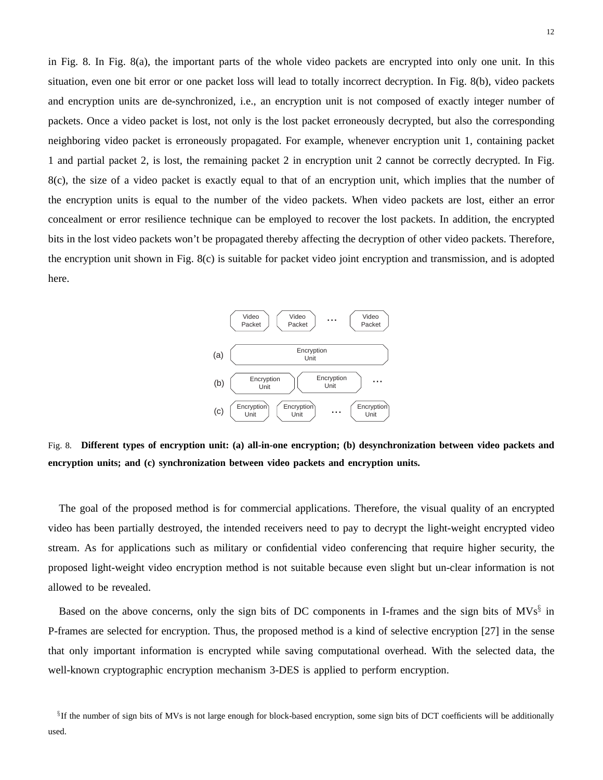in Fig. 8. In Fig. 8(a), the important parts of the whole video packets are encrypted into only one unit. In this situation, even one bit error or one packet loss will lead to totally incorrect decryption. In Fig. 8(b), video packets and encryption units are de-synchronized, i.e., an encryption unit is not composed of exactly integer number of packets. Once a video packet is lost, not only is the lost packet erroneously decrypted, but also the corresponding neighboring video packet is erroneously propagated. For example, whenever encryption unit 1, containing packet 1 and partial packet 2, is lost, the remaining packet 2 in encryption unit 2 cannot be correctly decrypted. In Fig. 8(c), the size of a video packet is exactly equal to that of an encryption unit, which implies that the number of the encryption units is equal to the number of the video packets. When video packets are lost, either an error concealment or error resilience technique can be employed to recover the lost packets. In addition, the encrypted bits in the lost video packets won't be propagated thereby affecting the decryption of other video packets. Therefore, the encryption unit shown in Fig. 8(c) is suitable for packet video joint encryption and transmission, and is adopted here.



Fig. 8. **Different types of encryption unit: (a) all-in-one encryption; (b) desynchronization between video packets and encryption units; and (c) synchronization between video packets and encryption units.**

The goal of the proposed method is for commercial applications. Therefore, the visual quality of an encrypted video has been partially destroyed, the intended receivers need to pay to decrypt the light-weight encrypted video stream. As for applications such as military or confidential video conferencing that require higher security, the proposed light-weight video encryption method is not suitable because even slight but un-clear information is not allowed to be revealed.

Based on the above concerns, only the sign bits of DC components in I-frames and the sign bits of  $MVs^{\S}$  in P-frames are selected for encryption. Thus, the proposed method is a kind of selective encryption [27] in the sense that only important information is encrypted while saving computational overhead. With the selected data, the well-known cryptographic encryption mechanism 3-DES is applied to perform encryption.

 ${}^{8}$ If the number of sign bits of MVs is not large enough for block-based encryption, some sign bits of DCT coefficients will be additionally used.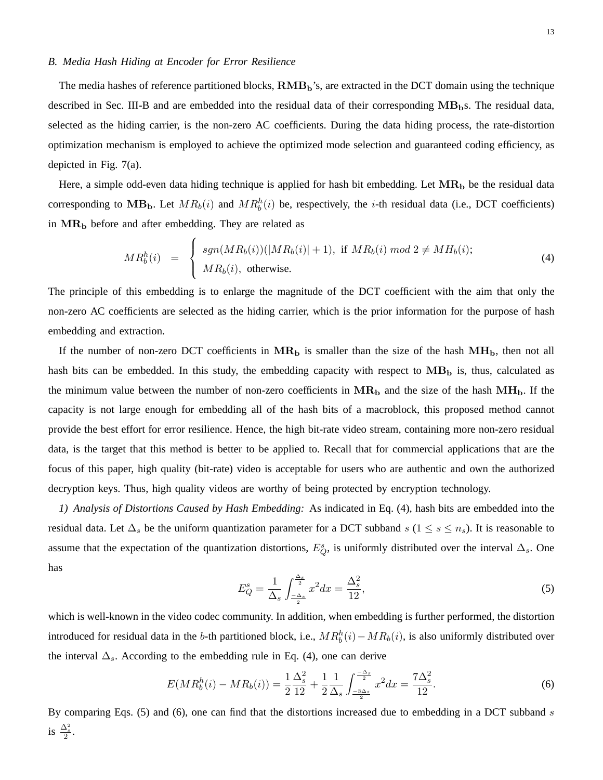#### *B. Media Hash Hiding at Encoder for Error Resilience*

The media hashes of reference partitioned blocks,  $\text{RMB}_b$ 's, are extracted in the DCT domain using the technique described in Sec. III-B and are embedded into the residual data of their corresponding  $MB<sub>b</sub>$ s. The residual data, selected as the hiding carrier, is the non-zero AC coefficients. During the data hiding process, the rate-distortion optimization mechanism is employed to achieve the optimized mode selection and guaranteed coding efficiency, as depicted in Fig. 7(a).

Here, a simple odd-even data hiding technique is applied for hash bit embedding. Let  $MR_b$  be the residual data corresponding to  $MB_b$ . Let  $MR_b(i)$  and  $MR_b^h(i)$  be, respectively, the *i*-th residual data (i.e., DCT coefficients) in MR<sub>b</sub> before and after embedding. They are related as

$$
MR_b^h(i) = \begin{cases} sgn(MR_b(i))(|MR_b(i)|+1), & \text{if } MR_b(i) \mod 2 \neq MH_b(i); \\ MR_b(i), & \text{otherwise.} \end{cases}
$$
(4)

The principle of this embedding is to enlarge the magnitude of the DCT coefficient with the aim that only the non-zero AC coefficients are selected as the hiding carrier, which is the prior information for the purpose of hash embedding and extraction.

If the number of non-zero DCT coefficients in  $MR_b$  is smaller than the size of the hash  $MH_b$ , then not all hash bits can be embedded. In this study, the embedding capacity with respect to  $MB<sub>b</sub>$  is, thus, calculated as the minimum value between the number of non-zero coefficients in  $MR_b$  and the size of the hash  $MH_b$ . If the capacity is not large enough for embedding all of the hash bits of a macroblock, this proposed method cannot provide the best effort for error resilience. Hence, the high bit-rate video stream, containing more non-zero residual data, is the target that this method is better to be applied to. Recall that for commercial applications that are the focus of this paper, high quality (bit-rate) video is acceptable for users who are authentic and own the authorized decryption keys. Thus, high quality videos are worthy of being protected by encryption technology.

*1) Analysis of Distortions Caused by Hash Embedding:* As indicated in Eq. (4), hash bits are embedded into the residual data. Let  $\Delta_s$  be the uniform quantization parameter for a DCT subband  $s$  ( $1 \le s \le n_s$ ). It is reasonable to assume that the expectation of the quantization distortions,  $E_Q^s$ , is uniformly distributed over the interval  $\Delta_s$ . One has

$$
E_Q^s = \frac{1}{\Delta_s} \int_{\frac{-\Delta_s}{2}}^{\frac{\Delta_s}{2}} x^2 dx = \frac{\Delta_s^2}{12},\tag{5}
$$

which is well-known in the video codec community. In addition, when embedding is further performed, the distortion introduced for residual data in the b-th partitioned block, i.e.,  $MR_b^h(i) - MR_b(i)$ , is also uniformly distributed over the interval  $\Delta_s$ . According to the embedding rule in Eq. (4), one can derive

$$
E(MR_b^h(i) - MR_b(i)) = \frac{1}{2} \frac{\Delta_s^2}{12} + \frac{1}{2} \frac{1}{\Delta_s} \int_{\frac{-3\Delta_s}{2}}^{\frac{-\Delta_s}{2}} x^2 dx = \frac{7\Delta_s^2}{12}.
$$
 (6)

By comparing Eqs. (5) and (6), one can find that the distortions increased due to embedding in a DCT subband  $s$ is  $\frac{\Delta_s^2}{2}$ .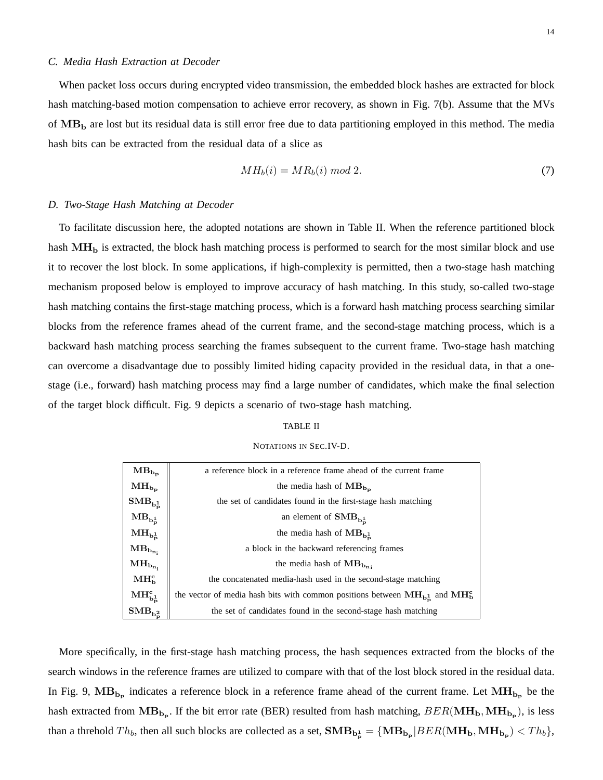#### *C. Media Hash Extraction at Decoder*

When packet loss occurs during encrypted video transmission, the embedded block hashes are extracted for block hash matching-based motion compensation to achieve error recovery, as shown in Fig. 7(b). Assume that the MVs of MB<sub>b</sub> are lost but its residual data is still error free due to data partitioning employed in this method. The media hash bits can be extracted from the residual data of a slice as

$$
MH_b(i) = MR_b(i) \mod 2. \tag{7}
$$

## *D. Two-Stage Hash Matching at Decoder*

To facilitate discussion here, the adopted notations are shown in Table II. When the reference partitioned block hash MH<sub>b</sub> is extracted, the block hash matching process is performed to search for the most similar block and use it to recover the lost block. In some applications, if high-complexity is permitted, then a two-stage hash matching mechanism proposed below is employed to improve accuracy of hash matching. In this study, so-called two-stage hash matching contains the first-stage matching process, which is a forward hash matching process searching similar blocks from the reference frames ahead of the current frame, and the second-stage matching process, which is a backward hash matching process searching the frames subsequent to the current frame. Two-stage hash matching can overcome a disadvantage due to possibly limited hiding capacity provided in the residual data, in that a onestage (i.e., forward) hash matching process may find a large number of candidates, which make the final selection of the target block difficult. Fig. 9 depicts a scenario of two-stage hash matching.

#### TABLE II

#### NOTATIONS IN SEC.IV-D.

| $MB_{\rm b_p}$                                       | a reference block in a reference frame ahead of the current frame                                      |
|------------------------------------------------------|--------------------------------------------------------------------------------------------------------|
| $\rm{MH_{b_p}}$                                      | the media hash of $MB_{bn}$                                                                            |
| $SMB_{b_n^1}$                                        | the set of candidates found in the first-stage hash matching                                           |
| $\rm MB_{b_p^1}$                                     | an element of $\rm SMB_{b1}$                                                                           |
| $MH_{b_0^1}$                                         | the media hash of $MB_{b\frac{1}{2}}$                                                                  |
| $\mathbf{MB_{b_{n_i}}}$                              | a block in the backward referencing frames                                                             |
| $\mathbf{MH_{b_{n_i}}}$                              | the media hash of $MB_{b_{n}}$                                                                         |
| MH <sub>b</sub> <sup>c</sup>                         | the concatenated media-hash used in the second-stage matching                                          |
| $\mathbf{MH}^\mathbf{c}_{\mathbf{b}^1_{\mathbf{p}}}$ | the vector of media hash bits with common positions between $\text{MH}_{b\perp}$ and $\text{MH}_{b}^c$ |
| $SMB_{b_2}$                                          | the set of candidates found in the second-stage hash matching                                          |

More specifically, in the first-stage hash matching process, the hash sequences extracted from the blocks of the search windows in the reference frames are utilized to compare with that of the lost block stored in the residual data. In Fig. 9,  $MB_{b_p}$  indicates a reference block in a reference frame ahead of the current frame. Let  $MH_{b_p}$  be the hash extracted from  $MB_{b_p}$ . If the bit error rate (BER) resulted from hash matching,  $BER(MH_{b_p}, MH_{b_p})$ , is less than a threhold  $Th_b$ , then all such blocks are collected as a set,  $\bf SMB_{b_1^n}=\{MB_{b_p}|BER(MH_b,MH_{b_p}) < Th_b\},$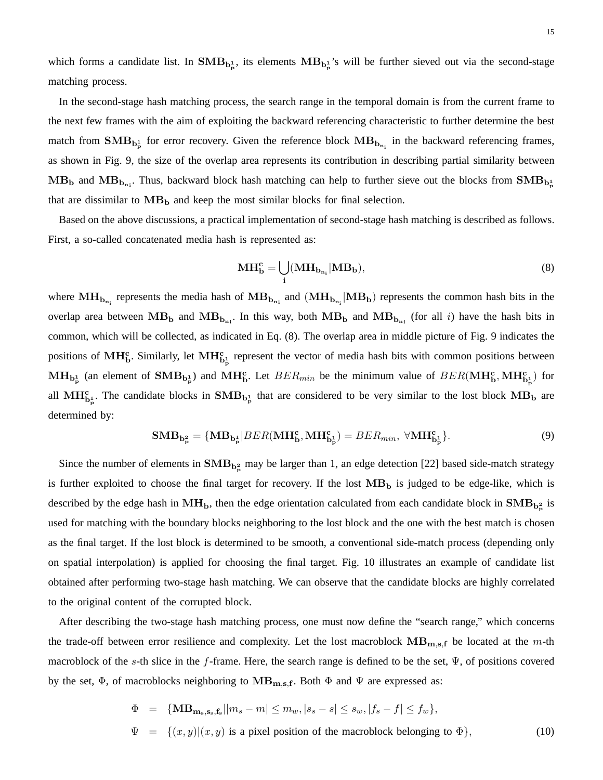which forms a candidate list. In  $SMB_{b_1}$ , its elements  $MB_{b_1}$ 's will be further sieved out via the second-stage matching process.

In the second-stage hash matching process, the search range in the temporal domain is from the current frame to the next few frames with the aim of exploiting the backward referencing characteristic to further determine the best match from  $\text{SMB}_{\text{b}_p}$  for error recovery. Given the reference block  $\text{MB}_{\text{b}_{n_i}}$  in the backward referencing frames, as shown in Fig. 9, the size of the overlap area represents its contribution in describing partial similarity between  $MB_b$  and  $MB_{b_{ni}}$ . Thus, backward block hash matching can help to further sieve out the blocks from  $SMB_{b_p}$ that are dissimilar to  $MB<sub>b</sub>$  and keep the most similar blocks for final selection.

Based on the above discussions, a practical implementation of second-stage hash matching is described as follows. First, a so-called concatenated media hash is represented as:

$$
\mathbf{M} \mathbf{H}_{\mathbf{b}}^{\mathbf{c}} = \bigcup_{i} (\mathbf{M} \mathbf{H}_{\mathbf{b}_{n_i}} | \mathbf{M} \mathbf{B}_{\mathbf{b}}),
$$
 (8)

where  $\text{MH}_{b_{n_i}}$  represents the media hash of  $\text{MB}_{b_{n_i}}$  and  $(\text{MH}_{b_{n_i}}|MB_b)$  represents the common hash bits in the overlap area between  $MB_b$  and  $MB_{b_{ni}}$ . In this way, both  $MB_b$  and  $MB_{b_{ni}}$  (for all i) have the hash bits in common, which will be collected, as indicated in Eq. (8). The overlap area in middle picture of Fig. 9 indicates the positions of  $\text{MH}_{\text{b}}^{\text{c}}$ . Similarly, let  $\text{MH}_{\text{b}_p}^{\text{c}}$  represent the vector of media hash bits with common positions between  $MH_{b_p}$  (an element of  $SMB_{b_p}$ ) and  $MH_b^c$ . Let  $BER_{min}$  be the minimum value of  $BER(MH_b^c, MH_{b_p}^c)$  for all  $MH^c_{b_p^1}$ . The candidate blocks in  $SMB_{b_p^1}$  that are considered to be very similar to the lost block  $MB_b$  are determined by:

$$
\mathbf{SMB}_{\mathbf{b}_{\mathbf{p}}^{2}} = \{ \mathbf{MB}_{\mathbf{b}_{\mathbf{p}}^{1}} | BER(\mathbf{MH}_{\mathbf{b}}^{c}, \mathbf{MH}_{\mathbf{b}_{\mathbf{p}}^{1}}^{c}) = BER_{min}, \ \forall \mathbf{MH}_{\mathbf{b}_{\mathbf{p}}^{1}}^{c} \}.
$$
\n(9)

Since the number of elements in  $\text{SMB}_{\text{b}_p^2}$  may be larger than 1, an edge detection [22] based side-match strategy is further exploited to choose the final target for recovery. If the lost  $MB<sub>b</sub>$  is judged to be edge-like, which is described by the edge hash in  $MH_b$ , then the edge orientation calculated from each candidate block in  $SMB_{b_p^2}$  is used for matching with the boundary blocks neighboring to the lost block and the one with the best match is chosen as the final target. If the lost block is determined to be smooth, a conventional side-match process (depending only on spatial interpolation) is applied for choosing the final target. Fig. 10 illustrates an example of candidate list obtained after performing two-stage hash matching. We can observe that the candidate blocks are highly correlated to the original content of the corrupted block.

After describing the two-stage hash matching process, one must now define the "search range," which concerns the trade-off between error resilience and complexity. Let the lost macroblock  $MB_{m,s,f}$  be located at the m-th macroblock of the s-th slice in the f-frame. Here, the search range is defined to be the set,  $\Psi$ , of positions covered by the set,  $\Phi$ , of macroblocks neighboring to  $MB_{m,s,f}$ . Both  $\Phi$  and  $\Psi$  are expressed as:

$$
\Phi = \{ \mathbf{MB}_{\mathbf{m}_s, \mathbf{s}_s, \mathbf{f}_s} | |m_s - m| \le m_w, |s_s - s| \le s_w, |f_s - f| \le f_w \},
$$
  
\n
$$
\Psi = \{ (x, y) | (x, y) \text{ is a pixel position of the macroblock belonging to } \Phi \},
$$
\n(10)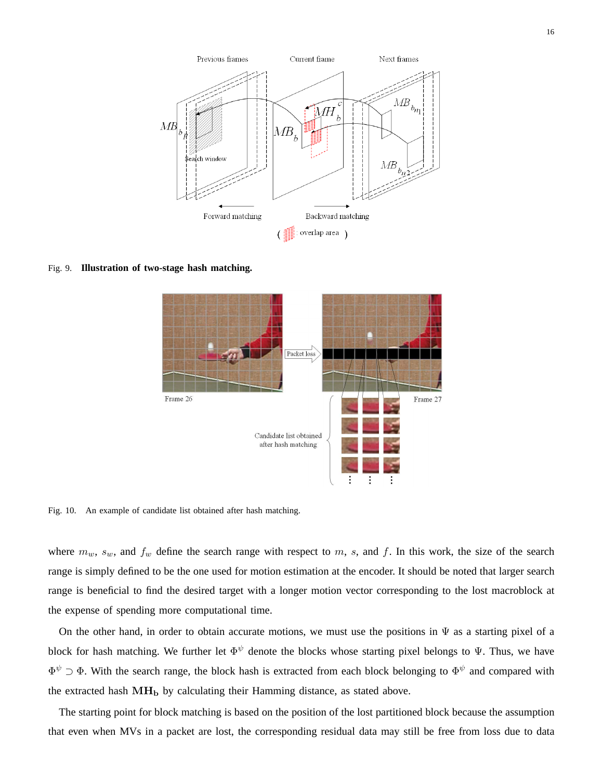

Fig. 9. **Illustration of two-stage hash matching.**



Fig. 10. An example of candidate list obtained after hash matching.

where  $m_w$ ,  $s_w$ , and  $f_w$  define the search range with respect to m, s, and f. In this work, the size of the search range is simply defined to be the one used for motion estimation at the encoder. It should be noted that larger search range is beneficial to find the desired target with a longer motion vector corresponding to the lost macroblock at the expense of spending more computational time.

On the other hand, in order to obtain accurate motions, we must use the positions in  $\Psi$  as a starting pixel of a block for hash matching. We further let  $\Phi^{\psi}$  denote the blocks whose starting pixel belongs to  $\Psi$ . Thus, we have  $\Phi^{\psi} \supset \Phi$ . With the search range, the block hash is extracted from each block belonging to  $\Phi^{\psi}$  and compared with the extracted hash  $\text{MH}_{\text{b}}$  by calculating their Hamming distance, as stated above.

The starting point for block matching is based on the position of the lost partitioned block because the assumption that even when MVs in a packet are lost, the corresponding residual data may still be free from loss due to data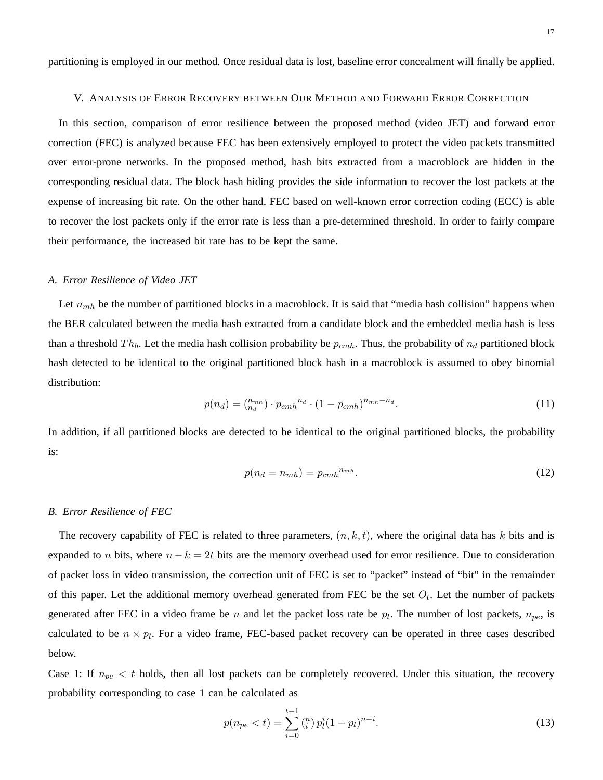#### V. ANALYSIS OF ERROR RECOVERY BETWEEN OUR METHOD AND FORWARD ERROR CORRECTION

In this section, comparison of error resilience between the proposed method (video JET) and forward error correction (FEC) is analyzed because FEC has been extensively employed to protect the video packets transmitted over error-prone networks. In the proposed method, hash bits extracted from a macroblock are hidden in the corresponding residual data. The block hash hiding provides the side information to recover the lost packets at the expense of increasing bit rate. On the other hand, FEC based on well-known error correction coding (ECC) is able to recover the lost packets only if the error rate is less than a pre-determined threshold. In order to fairly compare their performance, the increased bit rate has to be kept the same.

#### *A. Error Resilience of Video JET*

Let  $n_{mh}$  be the number of partitioned blocks in a macroblock. It is said that "media hash collision" happens when the BER calculated between the media hash extracted from a candidate block and the embedded media hash is less than a threshold  $Th_b$ . Let the media hash collision probability be  $p_{cmh}$ . Thus, the probability of  $n_d$  partitioned block hash detected to be identical to the original partitioned block hash in a macroblock is assumed to obey binomial distribution:

$$
p(n_d) = \binom{n_{mh}}{n_d} \cdot p_{cmh}^{n_d} \cdot (1 - p_{cmh})^{n_{mh} - n_d}.\tag{11}
$$

In addition, if all partitioned blocks are detected to be identical to the original partitioned blocks, the probability is:

$$
p(n_d = n_{mh}) = p_{cmh}^{n_{mh}}.\t(12)
$$

## *B. Error Resilience of FEC*

The recovery capability of FEC is related to three parameters,  $(n, k, t)$ , where the original data has k bits and is expanded to n bits, where  $n - k = 2t$  bits are the memory overhead used for error resilience. Due to consideration of packet loss in video transmission, the correction unit of FEC is set to "packet" instead of "bit" in the remainder of this paper. Let the additional memory overhead generated from FEC be the set  $O_t$ . Let the number of packets generated after FEC in a video frame be n and let the packet loss rate be  $p_l$ . The number of lost packets,  $n_{pe}$ , is calculated to be  $n \times p_l$ . For a video frame, FEC-based packet recovery can be operated in three cases described below.

Case 1: If  $n_{pe} < t$  holds, then all lost packets can be completely recovered. Under this situation, the recovery probability corresponding to case 1 can be calculated as

$$
p(n_{pe} < t) = \sum_{i=0}^{t-1} \binom{n}{i} p_i^i (1 - p_i)^{n-i}.\tag{13}
$$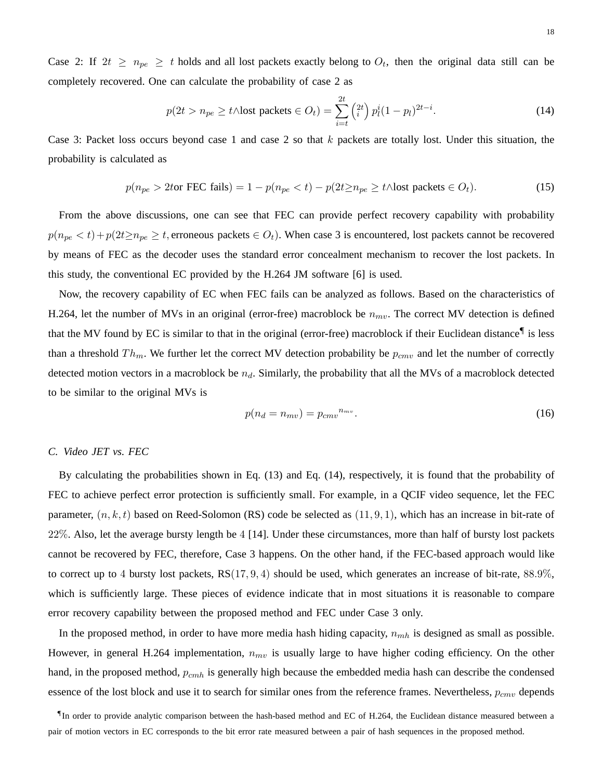Case 2: If  $2t \geq n_{pe} \geq t$  holds and all lost packets exactly belong to  $O_t$ , then the original data still can be completely recovered. One can calculate the probability of case 2 as

$$
p(2t > n_{pe} \ge t \land \text{lost packets} \in O_t) = \sum_{i=t}^{2t} {2t \choose i} p_l^i (1 - p_l)^{2t - i}.
$$
 (14)

Case 3: Packet loss occurs beyond case 1 and case 2 so that  $k$  packets are totally lost. Under this situation, the probability is calculated as

$$
p(n_{pe} > 2 \text{tor} \text{ FEC fails}) = 1 - p(n_{pe} < t) - p(2t \ge n_{pe} \ge t \land \text{lost packets} \in O_t). \tag{15}
$$

From the above discussions, one can see that FEC can provide perfect recovery capability with probability  $p(n_{pe} < t) + p(2t \ge n_{pe} \ge t$ , erroneous packets  $\in O_t$ ). When case 3 is encountered, lost packets cannot be recovered by means of FEC as the decoder uses the standard error concealment mechanism to recover the lost packets. In this study, the conventional EC provided by the H.264 JM software [6] is used.

Now, the recovery capability of EC when FEC fails can be analyzed as follows. Based on the characteristics of H.264, let the number of MVs in an original (error-free) macroblock be  $n_{mv}$ . The correct MV detection is defined that the MV found by EC is similar to that in the original (error-free) macroblock if their Euclidean distance is less than a threshold  $Th_m$ . We further let the correct MV detection probability be  $p_{cmv}$  and let the number of correctly detected motion vectors in a macroblock be  $n_d$ . Similarly, the probability that all the MVs of a macroblock detected to be similar to the original MVs is

$$
p(n_d = n_{mv}) = p_{cmv}^{n_{mv}}.\t(16)
$$

## *C. Video JET vs. FEC*

By calculating the probabilities shown in Eq. (13) and Eq. (14), respectively, it is found that the probability of FEC to achieve perfect error protection is sufficiently small. For example, in a QCIF video sequence, let the FEC parameter,  $(n, k, t)$  based on Reed-Solomon (RS) code be selected as  $(11, 9, 1)$ , which has an increase in bit-rate of 22%. Also, let the average bursty length be 4 [14]. Under these circumstances, more than half of bursty lost packets cannot be recovered by FEC, therefore, Case 3 happens. On the other hand, if the FEC-based approach would like to correct up to 4 bursty lost packets,  $RS(17, 9, 4)$  should be used, which generates an increase of bit-rate,  $88.9\%$ , which is sufficiently large. These pieces of evidence indicate that in most situations it is reasonable to compare error recovery capability between the proposed method and FEC under Case 3 only.

In the proposed method, in order to have more media hash hiding capacity,  $n_{mh}$  is designed as small as possible. However, in general H.264 implementation,  $n_{mv}$  is usually large to have higher coding efficiency. On the other hand, in the proposed method,  $p_{cmh}$  is generally high because the embedded media hash can describe the condensed essence of the lost block and use it to search for similar ones from the reference frames. Nevertheless,  $p_{cmv}$  depends

<sup>¶</sup> In order to provide analytic comparison between the hash-based method and EC of H.264, the Euclidean distance measured between a pair of motion vectors in EC corresponds to the bit error rate measured between a pair of hash sequences in the proposed method.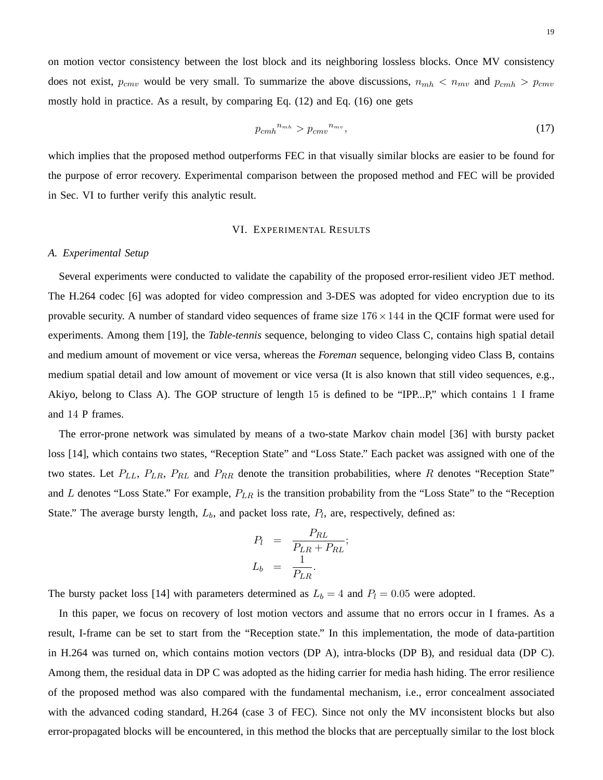on motion vector consistency between the lost block and its neighboring lossless blocks. Once MV consistency does not exist,  $p_{cmv}$  would be very small. To summarize the above discussions,  $n_{mh} < n_{mv}$  and  $p_{cmh} > p_{cmv}$ mostly hold in practice. As a result, by comparing Eq. (12) and Eq. (16) one gets

$$
p_{cmh}^{n_{mh}} > p_{cmv}^{n_{mv}},\tag{17}
$$

which implies that the proposed method outperforms FEC in that visually similar blocks are easier to be found for the purpose of error recovery. Experimental comparison between the proposed method and FEC will be provided in Sec. VI to further verify this analytic result.

## VI. EXPERIMENTAL RESULTS

## *A. Experimental Setup*

Several experiments were conducted to validate the capability of the proposed error-resilient video JET method. The H.264 codec [6] was adopted for video compression and 3-DES was adopted for video encryption due to its provable security. A number of standard video sequences of frame size  $176 \times 144$  in the QCIF format were used for experiments. Among them [19], the *Table-tennis* sequence, belonging to video Class C, contains high spatial detail and medium amount of movement or vice versa, whereas the *Foreman* sequence, belonging video Class B, contains medium spatial detail and low amount of movement or vice versa (It is also known that still video sequences, e.g., Akiyo, belong to Class A). The GOP structure of length 15 is defined to be "IPP...P," which contains 1 I frame and 14 P frames.

The error-prone network was simulated by means of a two-state Markov chain model [36] with bursty packet loss [14], which contains two states, "Reception State" and "Loss State." Each packet was assigned with one of the two states. Let  $P_{LL}$ ,  $P_{LR}$ ,  $P_{RL}$  and  $P_{RR}$  denote the transition probabilities, where R denotes "Reception State" and  $L$  denotes "Loss State." For example,  $P_{LR}$  is the transition probability from the "Loss State" to the "Reception State." The average bursty length,  $L_b$ , and packet loss rate,  $P_l$ , are, respectively, defined as:

$$
P_l = \frac{P_{RL}}{P_{LR} + P_{RL}};
$$
  

$$
L_b = \frac{1}{P_{LR}}.
$$

The bursty packet loss [14] with parameters determined as  $L_b = 4$  and  $P_l = 0.05$  were adopted.

In this paper, we focus on recovery of lost motion vectors and assume that no errors occur in I frames. As a result, I-frame can be set to start from the "Reception state." In this implementation, the mode of data-partition in H.264 was turned on, which contains motion vectors (DP A), intra-blocks (DP B), and residual data (DP C). Among them, the residual data in DP C was adopted as the hiding carrier for media hash hiding. The error resilience of the proposed method was also compared with the fundamental mechanism, i.e., error concealment associated with the advanced coding standard, H.264 (case 3 of FEC). Since not only the MV inconsistent blocks but also error-propagated blocks will be encountered, in this method the blocks that are perceptually similar to the lost block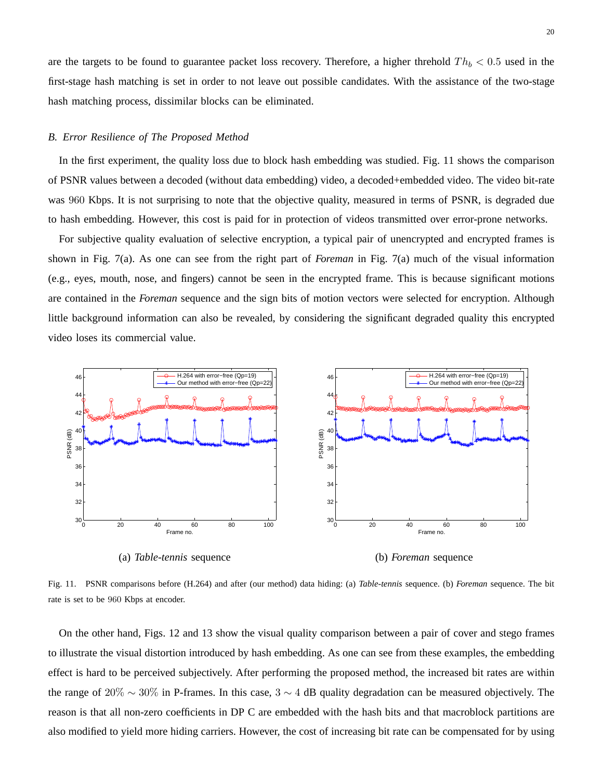are the targets to be found to guarantee packet loss recovery. Therefore, a higher threhold  $Th_b < 0.5$  used in the first-stage hash matching is set in order to not leave out possible candidates. With the assistance of the two-stage hash matching process, dissimilar blocks can be eliminated.

#### *B. Error Resilience of The Proposed Method*

In the first experiment, the quality loss due to block hash embedding was studied. Fig. 11 shows the comparison of PSNR values between a decoded (without data embedding) video, a decoded+embedded video. The video bit-rate was 960 Kbps. It is not surprising to note that the objective quality, measured in terms of PSNR, is degraded due to hash embedding. However, this cost is paid for in protection of videos transmitted over error-prone networks.

For subjective quality evaluation of selective encryption, a typical pair of unencrypted and encrypted frames is shown in Fig. 7(a). As one can see from the right part of *Foreman* in Fig. 7(a) much of the visual information (e.g., eyes, mouth, nose, and fingers) cannot be seen in the encrypted frame. This is because significant motions are contained in the *Foreman* sequence and the sign bits of motion vectors were selected for encryption. Although little background information can also be revealed, by considering the significant degraded quality this encrypted video loses its commercial value.



(a) *Table-tennis* sequence (b) *Foreman* sequence

Fig. 11. PSNR comparisons before (H.264) and after (our method) data hiding: (a) *Table-tennis* sequence. (b) *Foreman* sequence. The bit rate is set to be 960 Kbps at encoder.

On the other hand, Figs. 12 and 13 show the visual quality comparison between a pair of cover and stego frames to illustrate the visual distortion introduced by hash embedding. As one can see from these examples, the embedding effect is hard to be perceived subjectively. After performing the proposed method, the increased bit rates are within the range of 20%  $\sim$  30% in P-frames. In this case, 3  $\sim$  4 dB quality degradation can be measured objectively. The reason is that all non-zero coefficients in DP C are embedded with the hash bits and that macroblock partitions are also modified to yield more hiding carriers. However, the cost of increasing bit rate can be compensated for by using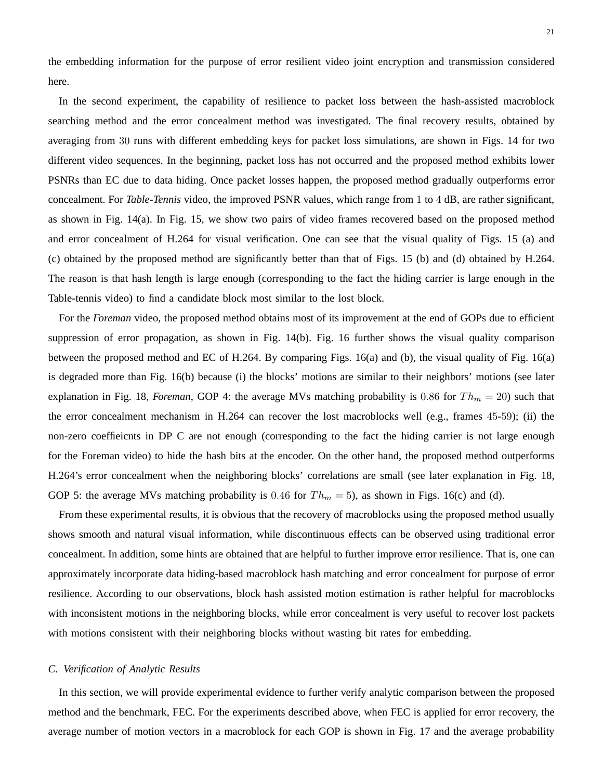the embedding information for the purpose of error resilient video joint encryption and transmission considered here.

In the second experiment, the capability of resilience to packet loss between the hash-assisted macroblock searching method and the error concealment method was investigated. The final recovery results, obtained by averaging from 30 runs with different embedding keys for packet loss simulations, are shown in Figs. 14 for two different video sequences. In the beginning, packet loss has not occurred and the proposed method exhibits lower PSNRs than EC due to data hiding. Once packet losses happen, the proposed method gradually outperforms error concealment. For *Table-Tennis* video, the improved PSNR values, which range from 1 to 4 dB, are rather significant, as shown in Fig. 14(a). In Fig. 15, we show two pairs of video frames recovered based on the proposed method and error concealment of H.264 for visual verification. One can see that the visual quality of Figs. 15 (a) and (c) obtained by the proposed method are significantly better than that of Figs. 15 (b) and (d) obtained by H.264. The reason is that hash length is large enough (corresponding to the fact the hiding carrier is large enough in the Table-tennis video) to find a candidate block most similar to the lost block.

For the *Foreman* video, the proposed method obtains most of its improvement at the end of GOPs due to efficient suppression of error propagation, as shown in Fig. 14(b). Fig. 16 further shows the visual quality comparison between the proposed method and EC of H.264. By comparing Figs. 16(a) and (b), the visual quality of Fig. 16(a) is degraded more than Fig. 16(b) because (i) the blocks' motions are similar to their neighbors' motions (see later explanation in Fig. 18, *Foreman*, GOP 4: the average MVs matching probability is 0.86 for  $Th_m = 20$ ) such that the error concealment mechanism in H.264 can recover the lost macroblocks well (e.g., frames 45-59); (ii) the non-zero coeffieicnts in DP C are not enough (corresponding to the fact the hiding carrier is not large enough for the Foreman video) to hide the hash bits at the encoder. On the other hand, the proposed method outperforms H.264's error concealment when the neighboring blocks' correlations are small (see later explanation in Fig. 18, GOP 5: the average MVs matching probability is 0.46 for  $Th_m = 5$ ), as shown in Figs. 16(c) and (d).

From these experimental results, it is obvious that the recovery of macroblocks using the proposed method usually shows smooth and natural visual information, while discontinuous effects can be observed using traditional error concealment. In addition, some hints are obtained that are helpful to further improve error resilience. That is, one can approximately incorporate data hiding-based macroblock hash matching and error concealment for purpose of error resilience. According to our observations, block hash assisted motion estimation is rather helpful for macroblocks with inconsistent motions in the neighboring blocks, while error concealment is very useful to recover lost packets with motions consistent with their neighboring blocks without wasting bit rates for embedding.

## *C. Verification of Analytic Results*

In this section, we will provide experimental evidence to further verify analytic comparison between the proposed method and the benchmark, FEC. For the experiments described above, when FEC is applied for error recovery, the average number of motion vectors in a macroblock for each GOP is shown in Fig. 17 and the average probability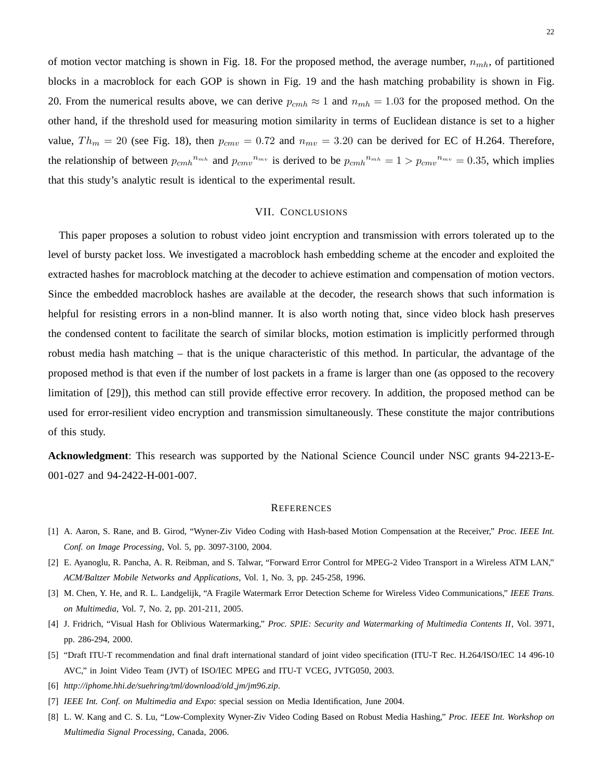of motion vector matching is shown in Fig. 18. For the proposed method, the average number,  $n_{mh}$ , of partitioned blocks in a macroblock for each GOP is shown in Fig. 19 and the hash matching probability is shown in Fig. 20. From the numerical results above, we can derive  $p_{cmb} \approx 1$  and  $n_{mh} = 1.03$  for the proposed method. On the other hand, if the threshold used for measuring motion similarity in terms of Euclidean distance is set to a higher value,  $Th_m = 20$  (see Fig. 18), then  $p_{cmv} = 0.72$  and  $n_{mv} = 3.20$  can be derived for EC of H.264. Therefore, the relationship of between  $p_{cmh}^{n_{mh}}$  and  $p_{cmv}^{n_{mv}}$  is derived to be  $p_{cmh}^{n_{mh}} = 1 > p_{cmv}^{n_{mv}} = 0.35$ , which implies that this study's analytic result is identical to the experimental result.

## VII. CONCLUSIONS

This paper proposes a solution to robust video joint encryption and transmission with errors tolerated up to the level of bursty packet loss. We investigated a macroblock hash embedding scheme at the encoder and exploited the extracted hashes for macroblock matching at the decoder to achieve estimation and compensation of motion vectors. Since the embedded macroblock hashes are available at the decoder, the research shows that such information is helpful for resisting errors in a non-blind manner. It is also worth noting that, since video block hash preserves the condensed content to facilitate the search of similar blocks, motion estimation is implicitly performed through robust media hash matching – that is the unique characteristic of this method. In particular, the advantage of the proposed method is that even if the number of lost packets in a frame is larger than one (as opposed to the recovery limitation of [29]), this method can still provide effective error recovery. In addition, the proposed method can be used for error-resilient video encryption and transmission simultaneously. These constitute the major contributions of this study.

**Acknowledgment**: This research was supported by the National Science Council under NSC grants 94-2213-E-001-027 and 94-2422-H-001-007.

#### **REFERENCES**

- [1] A. Aaron, S. Rane, and B. Girod, "Wyner-Ziv Video Coding with Hash-based Motion Compensation at the Receiver," *Proc. IEEE Int. Conf. on Image Processing*, Vol. 5, pp. 3097-3100, 2004.
- [2] E. Ayanoglu, R. Pancha, A. R. Reibman, and S. Talwar, "Forward Error Control for MPEG-2 Video Transport in a Wireless ATM LAN," *ACM/Baltzer Mobile Networks and Applications*, Vol. 1, No. 3, pp. 245-258, 1996.
- [3] M. Chen, Y. He, and R. L. Landgelijk, "A Fragile Watermark Error Detection Scheme for Wireless Video Communications," *IEEE Trans. on Multimedia*, Vol. 7, No. 2, pp. 201-211, 2005.
- [4] J. Fridrich, "Visual Hash for Oblivious Watermarking," *Proc. SPIE: Security and Watermarking of Multimedia Contents II*, Vol. 3971, pp. 286-294, 2000.
- [5] "Draft ITU-T recommendation and final draft international standard of joint video specification (ITU-T Rec. H.264/ISO/IEC 14 496-10 AVC," in Joint Video Team (JVT) of ISO/IEC MPEG and ITU-T VCEG, JVTG050, 2003.
- [6] *http://iphome.hhi.de/suehring/tml/download/old jm/jm96.zip*.
- [7] *IEEE Int. Conf. on Multimedia and Expo*: special session on Media Identification, June 2004.
- [8] L. W. Kang and C. S. Lu, "Low-Complexity Wyner-Ziv Video Coding Based on Robust Media Hashing," *Proc. IEEE Int. Workshop on Multimedia Signal Processing*, Canada, 2006.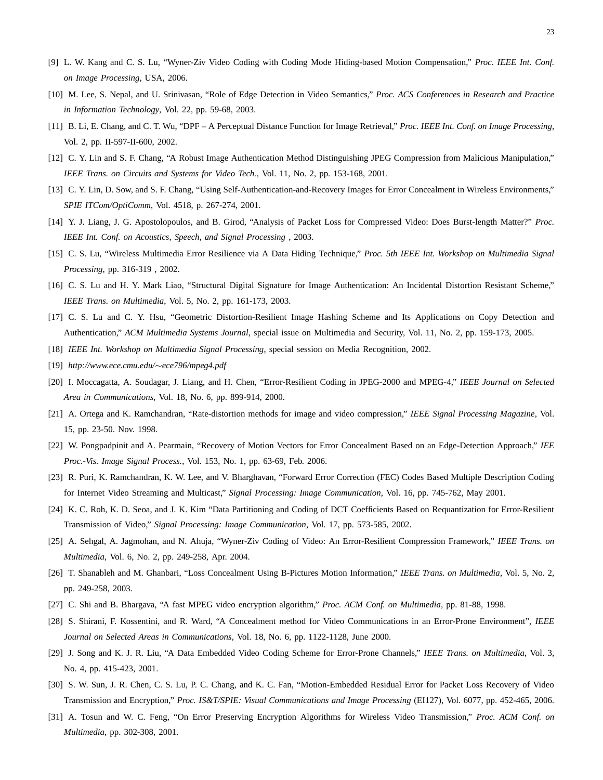- [9] L. W. Kang and C. S. Lu, "Wyner-Ziv Video Coding with Coding Mode Hiding-based Motion Compensation," *Proc. IEEE Int. Conf. on Image Processing*, USA, 2006.
- [10] M. Lee, S. Nepal, and U. Srinivasan, "Role of Edge Detection in Video Semantics," *Proc. ACS Conferences in Research and Practice in Information Technology*, Vol. 22, pp. 59-68, 2003.
- [11] B. Li, E. Chang, and C. T. Wu, "DPF A Perceptual Distance Function for Image Retrieval," *Proc. IEEE Int. Conf. on Image Processing*, Vol. 2, pp. II-597-II-600, 2002.
- [12] C. Y. Lin and S. F. Chang, "A Robust Image Authentication Method Distinguishing JPEG Compression from Malicious Manipulation," *IEEE Trans. on Circuits and Systems for Video Tech.*, Vol. 11, No. 2, pp. 153-168, 2001.
- [13] C. Y. Lin, D. Sow, and S. F. Chang, "Using Self-Authentication-and-Recovery Images for Error Concealment in Wireless Environments," *SPIE ITCom/OptiComm*, Vol. 4518, p. 267-274, 2001.
- [14] Y. J. Liang, J. G. Apostolopoulos, and B. Girod, "Analysis of Packet Loss for Compressed Video: Does Burst-length Matter?" *Proc. IEEE Int. Conf. on Acoustics, Speech, and Signal Processing* , 2003.
- [15] C. S. Lu, "Wireless Multimedia Error Resilience via A Data Hiding Technique," *Proc. 5th IEEE Int. Workshop on Multimedia Signal Processing*, pp. 316-319 , 2002.
- [16] C. S. Lu and H. Y. Mark Liao, "Structural Digital Signature for Image Authentication: An Incidental Distortion Resistant Scheme," *IEEE Trans. on Multimedia*, Vol. 5, No. 2, pp. 161-173, 2003.
- [17] C. S. Lu and C. Y. Hsu, "Geometric Distortion-Resilient Image Hashing Scheme and Its Applications on Copy Detection and Authentication," *ACM Multimedia Systems Journal*, special issue on Multimedia and Security, Vol. 11, No. 2, pp. 159-173, 2005.
- [18] *IEEE Int. Workshop on Multimedia Signal Processing*, special session on Media Recognition, 2002.
- [19] *http://www.ece.cmu.edu/*∼*ece796/mpeg4.pdf*
- [20] I. Moccagatta, A. Soudagar, J. Liang, and H. Chen, "Error-Resilient Coding in JPEG-2000 and MPEG-4," *IEEE Journal on Selected Area in Communications*, Vol. 18, No. 6, pp. 899-914, 2000.
- [21] A. Ortega and K. Ramchandran, "Rate-distortion methods for image and video compression," *IEEE Signal Processing Magazine*, Vol. 15, pp. 23-50. Nov. 1998.
- [22] W. Pongpadpinit and A. Pearmain, "Recovery of Motion Vectors for Error Concealment Based on an Edge-Detection Approach," *IEE Proc.-Vis. Image Signal Process.*, Vol. 153, No. 1, pp. 63-69, Feb. 2006.
- [23] R. Puri, K. Ramchandran, K. W. Lee, and V. Bharghavan, "Forward Error Correction (FEC) Codes Based Multiple Description Coding for Internet Video Streaming and Multicast," *Signal Processing: Image Communication*, Vol. 16, pp. 745-762, May 2001.
- [24] K. C. Roh, K. D. Seoa, and J. K. Kim "Data Partitioning and Coding of DCT Coefficients Based on Requantization for Error-Resilient Transmission of Video," *Signal Processing: Image Communication*, Vol. 17, pp. 573-585, 2002.
- [25] A. Sehgal, A. Jagmohan, and N. Ahuja, "Wyner-Ziv Coding of Video: An Error-Resilient Compression Framework," *IEEE Trans. on Multimedia*, Vol. 6, No. 2, pp. 249-258, Apr. 2004.
- [26] T. Shanableh and M. Ghanbari, "Loss Concealment Using B-Pictures Motion Information," *IEEE Trans. on Multimedia*, Vol. 5, No. 2, pp. 249-258, 2003.
- [27] C. Shi and B. Bhargava, "A fast MPEG video encryption algorithm," *Proc. ACM Conf. on Multimedia*, pp. 81-88, 1998.
- [28] S. Shirani, F. Kossentini, and R. Ward, "A Concealment method for Video Communications in an Error-Prone Environment", *IEEE Journal on Selected Areas in Communications*, Vol. 18, No. 6, pp. 1122-1128, June 2000.
- [29] J. Song and K. J. R. Liu, "A Data Embedded Video Coding Scheme for Error-Prone Channels," *IEEE Trans. on Multimedia*, Vol. 3, No. 4, pp. 415-423, 2001.
- [30] S. W. Sun, J. R. Chen, C. S. Lu, P. C. Chang, and K. C. Fan, "Motion-Embedded Residual Error for Packet Loss Recovery of Video Transmission and Encryption," *Proc. IS&T/SPIE: Visual Communications and Image Processing* (EI127), Vol. 6077, pp. 452-465, 2006.
- [31] A. Tosun and W. C. Feng, "On Error Preserving Encryption Algorithms for Wireless Video Transmission," *Proc. ACM Conf. on Multimedia*, pp. 302-308, 2001.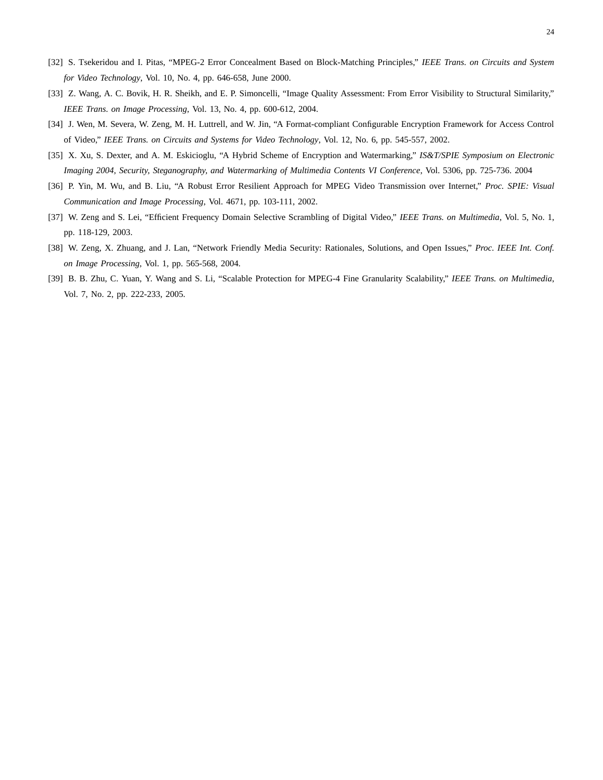- [32] S. Tsekeridou and I. Pitas, "MPEG-2 Error Concealment Based on Block-Matching Principles," *IEEE Trans. on Circuits and System for Video Technology*, Vol. 10, No. 4, pp. 646-658, June 2000.
- [33] Z. Wang, A. C. Bovik, H. R. Sheikh, and E. P. Simoncelli, "Image Quality Assessment: From Error Visibility to Structural Similarity," *IEEE Trans. on Image Processing*, Vol. 13, No. 4, pp. 600-612, 2004.
- [34] J. Wen, M. Severa, W. Zeng, M. H. Luttrell, and W. Jin, "A Format-compliant Configurable Encryption Framework for Access Control of Video," *IEEE Trans. on Circuits and Systems for Video Technology*, Vol. 12, No. 6, pp. 545-557, 2002.
- [35] X. Xu, S. Dexter, and A. M. Eskicioglu, "A Hybrid Scheme of Encryption and Watermarking," *IS&T/SPIE Symposium on Electronic Imaging 2004, Security, Steganography, and Watermarking of Multimedia Contents VI Conference*, Vol. 5306, pp. 725-736. 2004
- [36] P. Yin, M. Wu, and B. Liu, "A Robust Error Resilient Approach for MPEG Video Transmission over Internet," *Proc. SPIE: Visual Communication and Image Processing*, Vol. 4671, pp. 103-111, 2002.
- [37] W. Zeng and S. Lei, "Efficient Frequency Domain Selective Scrambling of Digital Video," *IEEE Trans. on Multimedia*, Vol. 5, No. 1, pp. 118-129, 2003.
- [38] W. Zeng, X. Zhuang, and J. Lan, "Network Friendly Media Security: Rationales, Solutions, and Open Issues," *Proc. IEEE Int. Conf. on Image Processing*, Vol. 1, pp. 565-568, 2004.
- [39] B. B. Zhu, C. Yuan, Y. Wang and S. Li, "Scalable Protection for MPEG-4 Fine Granularity Scalability," *IEEE Trans. on Multimedia*, Vol. 7, No. 2, pp. 222-233, 2005.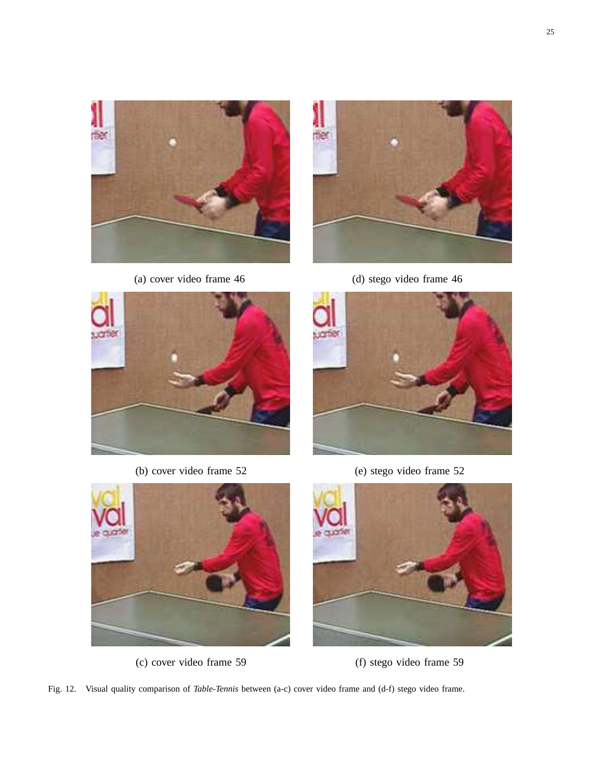

(a) cover video frame 46 (d) stego video frame 46





(b) cover video frame 52 (e) stego video frame 52







(c) cover video frame 59 (f) stego video frame 59

Fig. 12. Visual quality comparison of *Table-Tennis* between (a-c) cover video frame and (d-f) stego video frame.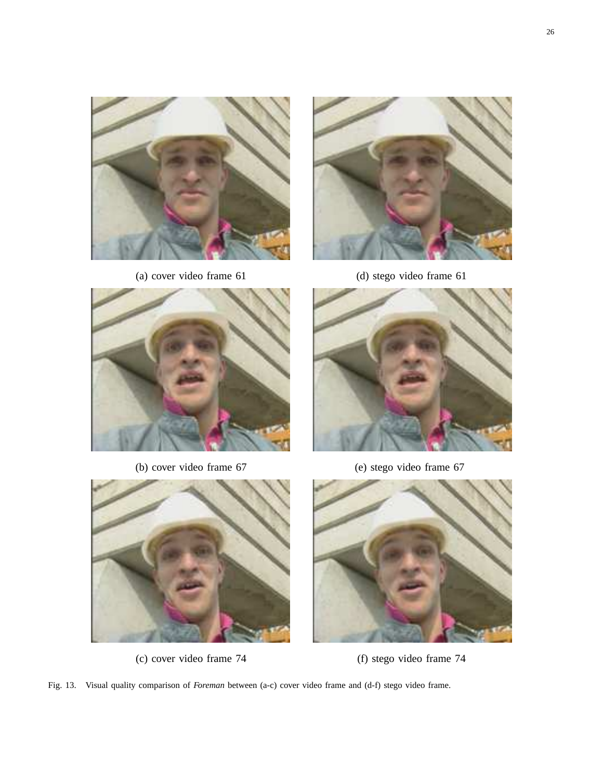26



(a) cover video frame 61 (d) stego video frame 61





(b) cover video frame 67 (e) stego video frame 67







(c) cover video frame 74 (f) stego video frame 74

Fig. 13. Visual quality comparison of *Foreman* between (a-c) cover video frame and (d-f) stego video frame.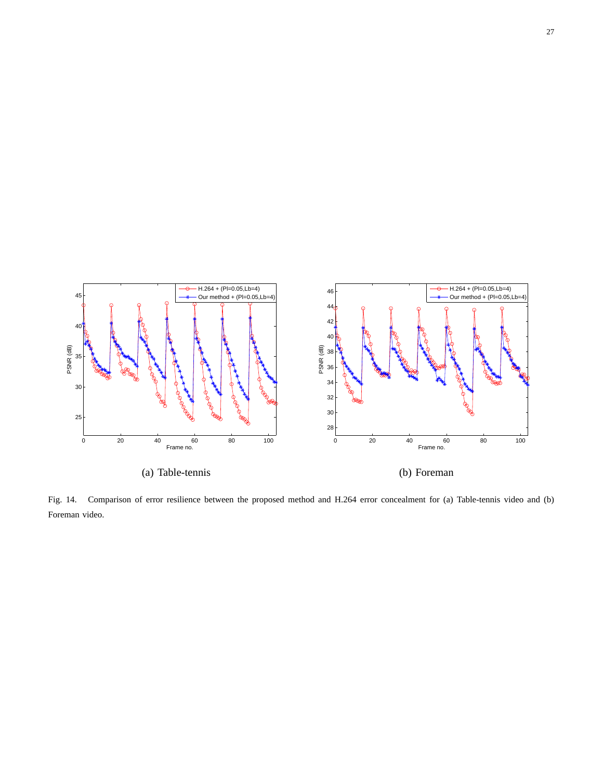

Fig. 14. Comparison of error resilience between the proposed method and H.264 error concealment for (a) Table-tennis video and (b) Foreman video.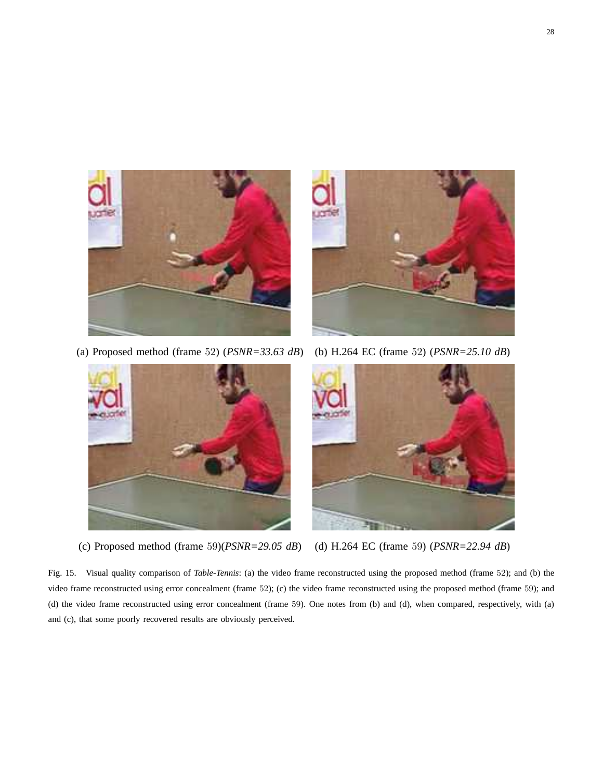

(a) Proposed method (frame 52) (*PSNR=33.63 dB*) (b) H.264 EC (frame 52) (*PSNR=25.10 dB*)



(c) Proposed method (frame 59)(*PSNR=29.05 dB*) (d) H.264 EC (frame 59) (*PSNR=22.94 dB*)



Fig. 15. Visual quality comparison of *Table-Tennis*: (a) the video frame reconstructed using the proposed method (frame 52); and (b) the video frame reconstructed using error concealment (frame 52); (c) the video frame reconstructed using the proposed method (frame 59); and (d) the video frame reconstructed using error concealment (frame 59). One notes from (b) and (d), when compared, respectively, with (a) and (c), that some poorly recovered results are obviously perceived.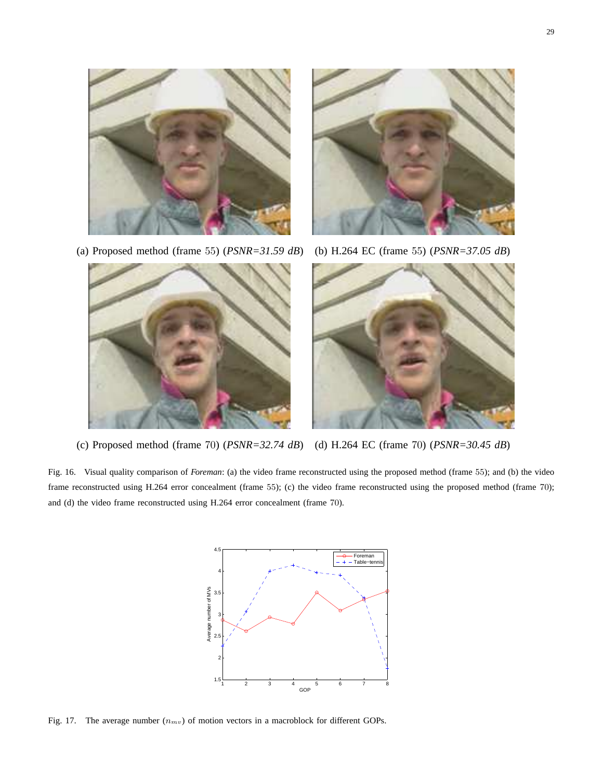



(a) Proposed method (frame 55) (*PSNR=31.59 dB*) (b) H.264 EC (frame 55) (*PSNR=37.05 dB*)





(c) Proposed method (frame 70) (*PSNR=32.74 dB*) (d) H.264 EC (frame 70) (*PSNR=30.45 dB*)

Fig. 16. Visual quality comparison of *Foreman*: (a) the video frame reconstructed using the proposed method (frame 55); and (b) the video frame reconstructed using H.264 error concealment (frame 55); (c) the video frame reconstructed using the proposed method (frame 70); and (d) the video frame reconstructed using H.264 error concealment (frame 70).



Fig. 17. The average number  $(n_{mv})$  of motion vectors in a macroblock for different GOPs.